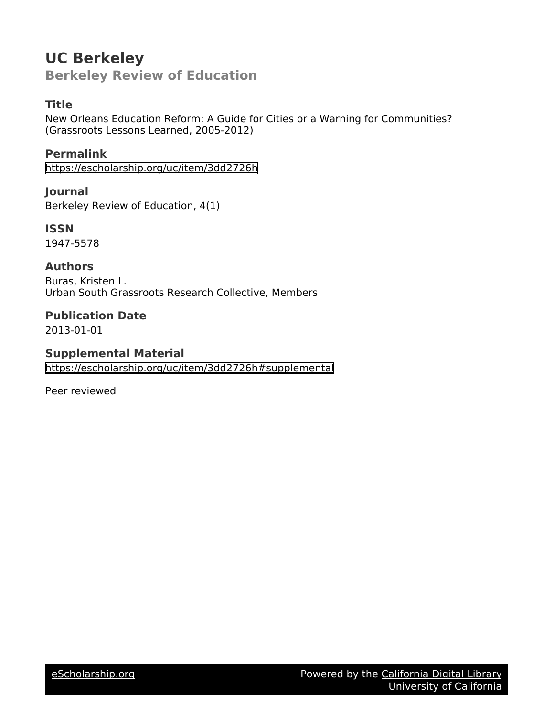# **UC Berkeley Berkeley Review of Education**

### **Title**

New Orleans Education Reform: A Guide for Cities or a Warning for Communities? (Grassroots Lessons Learned, 2005-2012)

**Permalink** <https://escholarship.org/uc/item/3dd2726h>

**Journal** Berkeley Review of Education, 4(1)

**ISSN** 1947-5578

**Authors** Buras, Kristen L. Urban South Grassroots Research Collective, Members

# **Publication Date**

2013-01-01

**Supplemental Material** <https://escholarship.org/uc/item/3dd2726h#supplemental>

Peer reviewed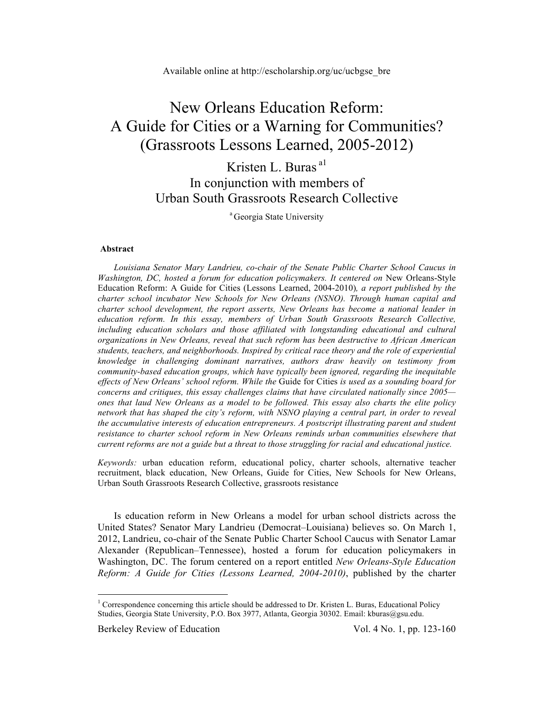# New Orleans Education Reform: A Guide for Cities or a Warning for Communities? (Grassroots Lessons Learned, 2005-2012)

Kristen L. Buras a1 In conjunction with members of Urban South Grassroots Research Collective

<sup>a</sup> Georgia State University

#### **Abstract**

*Louisiana Senator Mary Landrieu, co-chair of the Senate Public Charter School Caucus in*  Washington, DC, hosted a forum for education policymakers. It centered on New Orleans-Style Education Reform: A Guide for Cities (Lessons Learned, 2004-2010)*, a report published by the charter school incubator New Schools for New Orleans (NSNO). Through human capital and charter school development, the report asserts, New Orleans has become a national leader in education reform. In this essay, members of Urban South Grassroots Research Collective,*  including education scholars and those affiliated with longstanding educational and cultural *organizations in New Orleans, reveal that such reform has been destructive to African American students, teachers, and neighborhoods. Inspired by critical race theory and the role of experiential knowledge in challenging dominant narratives, authors draw heavily on testimony from community-based education groups, which have typically been ignored, regarding the inequitable effects of New Orleans' school reform. While the* Guide for Cities *is used as a sounding board for concerns and critiques, this essay challenges claims that have circulated nationally since 2005 ones that laud New Orleans as a model to be followed. This essay also charts the elite policy network that has shaped the city's reform, with NSNO playing a central part, in order to reveal the accumulative interests of education entrepreneurs. A postscript illustrating parent and student resistance to charter school reform in New Orleans reminds urban communities elsewhere that current reforms are not a guide but a threat to those struggling for racial and educational justice.*

*Keywords:* urban education reform, educational policy, charter schools, alternative teacher recruitment, black education, New Orleans, Guide for Cities, New Schools for New Orleans, Urban South Grassroots Research Collective, grassroots resistance

Is education reform in New Orleans a model for urban school districts across the United States? Senator Mary Landrieu (Democrat–Louisiana) believes so. On March 1, 2012, Landrieu, co-chair of the Senate Public Charter School Caucus with Senator Lamar Alexander (Republican–Tennessee), hosted a forum for education policymakers in Washington, DC. The forum centered on a report entitled *New Orleans-Style Education Reform: A Guide for Cities (Lessons Learned, 2004-2010)*, published by the charter

<sup>&</sup>lt;sup>1</sup> Correspondence concerning this article should be addressed to Dr. Kristen L. Buras, Educational Policy Studies, Georgia State University, P.O. Box 3977, Atlanta, Georgia 30302. Email: kburas@gsu.edu.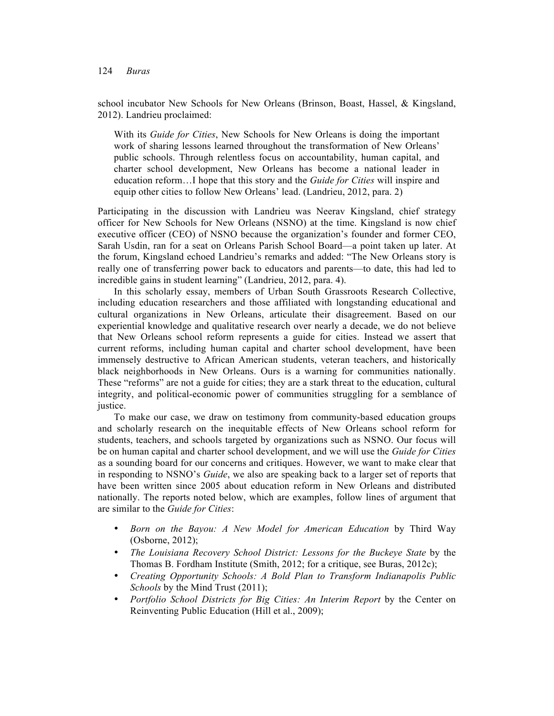school incubator New Schools for New Orleans (Brinson, Boast, Hassel, & Kingsland, 2012). Landrieu proclaimed:

With its *Guide for Cities*, New Schools for New Orleans is doing the important work of sharing lessons learned throughout the transformation of New Orleans' public schools. Through relentless focus on accountability, human capital, and charter school development, New Orleans has become a national leader in education reform…I hope that this story and the *Guide for Cities* will inspire and equip other cities to follow New Orleans' lead. (Landrieu, 2012, para. 2)

Participating in the discussion with Landrieu was Neerav Kingsland, chief strategy officer for New Schools for New Orleans (NSNO) at the time. Kingsland is now chief executive officer (CEO) of NSNO because the organization's founder and former CEO, Sarah Usdin, ran for a seat on Orleans Parish School Board—a point taken up later. At the forum, Kingsland echoed Landrieu's remarks and added: "The New Orleans story is really one of transferring power back to educators and parents—to date, this had led to incredible gains in student learning" (Landrieu, 2012, para. 4).

In this scholarly essay, members of Urban South Grassroots Research Collective, including education researchers and those affiliated with longstanding educational and cultural organizations in New Orleans, articulate their disagreement. Based on our experiential knowledge and qualitative research over nearly a decade, we do not believe that New Orleans school reform represents a guide for cities. Instead we assert that current reforms, including human capital and charter school development, have been immensely destructive to African American students, veteran teachers, and historically black neighborhoods in New Orleans. Ours is a warning for communities nationally. These "reforms" are not a guide for cities; they are a stark threat to the education, cultural integrity, and political-economic power of communities struggling for a semblance of justice.

To make our case, we draw on testimony from community-based education groups and scholarly research on the inequitable effects of New Orleans school reform for students, teachers, and schools targeted by organizations such as NSNO. Our focus will be on human capital and charter school development, and we will use the *Guide for Cities* as a sounding board for our concerns and critiques. However, we want to make clear that in responding to NSNO's *Guide*, we also are speaking back to a larger set of reports that have been written since 2005 about education reform in New Orleans and distributed nationally. The reports noted below, which are examples, follow lines of argument that are similar to the *Guide for Cities*:

- *Born on the Bayou: A New Model for American Education* by Third Way (Osborne, 2012);
- *The Louisiana Recovery School District: Lessons for the Buckeye State by the* Thomas B. Fordham Institute (Smith, 2012; for a critique, see Buras, 2012c);
- *Creating Opportunity Schools: A Bold Plan to Transform Indianapolis Public Schools* by the Mind Trust (2011);
- *Portfolio School Districts for Big Cities: An Interim Report* by the Center on Reinventing Public Education (Hill et al., 2009);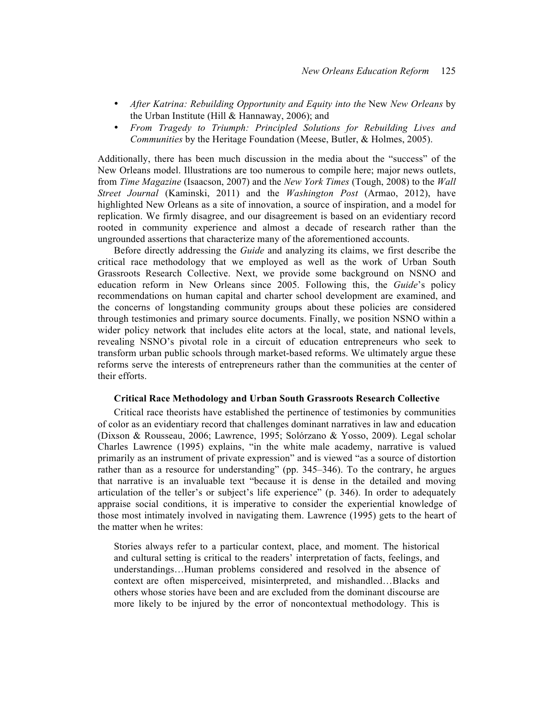- *After Katrina: Rebuilding Opportunity and Equity into the* New *New Orleans* by the Urban Institute (Hill & Hannaway, 2006); and
- *From Tragedy to Triumph: Principled Solutions for Rebuilding Lives and Communities* by the Heritage Foundation (Meese, Butler, & Holmes, 2005).

Additionally, there has been much discussion in the media about the "success" of the New Orleans model. Illustrations are too numerous to compile here; major news outlets, from *Time Magazine* (Isaacson, 2007) and the *New York Times* (Tough, 2008) to the *Wall Street Journal* (Kaminski, 2011) and the *Washington Post* (Armao, 2012), have highlighted New Orleans as a site of innovation, a source of inspiration, and a model for replication. We firmly disagree, and our disagreement is based on an evidentiary record rooted in community experience and almost a decade of research rather than the ungrounded assertions that characterize many of the aforementioned accounts.

Before directly addressing the *Guide* and analyzing its claims, we first describe the critical race methodology that we employed as well as the work of Urban South Grassroots Research Collective. Next, we provide some background on NSNO and education reform in New Orleans since 2005. Following this, the *Guide*'s policy recommendations on human capital and charter school development are examined, and the concerns of longstanding community groups about these policies are considered through testimonies and primary source documents. Finally, we position NSNO within a wider policy network that includes elite actors at the local, state, and national levels, revealing NSNO's pivotal role in a circuit of education entrepreneurs who seek to transform urban public schools through market-based reforms. We ultimately argue these reforms serve the interests of entrepreneurs rather than the communities at the center of their efforts.

#### **Critical Race Methodology and Urban South Grassroots Research Collective**

Critical race theorists have established the pertinence of testimonies by communities of color as an evidentiary record that challenges dominant narratives in law and education (Dixson & Rousseau, 2006; Lawrence, 1995; Solórzano & Yosso, 2009). Legal scholar Charles Lawrence (1995) explains, "in the white male academy, narrative is valued primarily as an instrument of private expression" and is viewed "as a source of distortion rather than as a resource for understanding" (pp. 345–346). To the contrary, he argues that narrative is an invaluable text "because it is dense in the detailed and moving articulation of the teller's or subject's life experience" (p. 346). In order to adequately appraise social conditions, it is imperative to consider the experiential knowledge of those most intimately involved in navigating them. Lawrence (1995) gets to the heart of the matter when he writes:

Stories always refer to a particular context, place, and moment. The historical and cultural setting is critical to the readers' interpretation of facts, feelings, and understandings…Human problems considered and resolved in the absence of context are often misperceived, misinterpreted, and mishandled…Blacks and others whose stories have been and are excluded from the dominant discourse are more likely to be injured by the error of noncontextual methodology. This is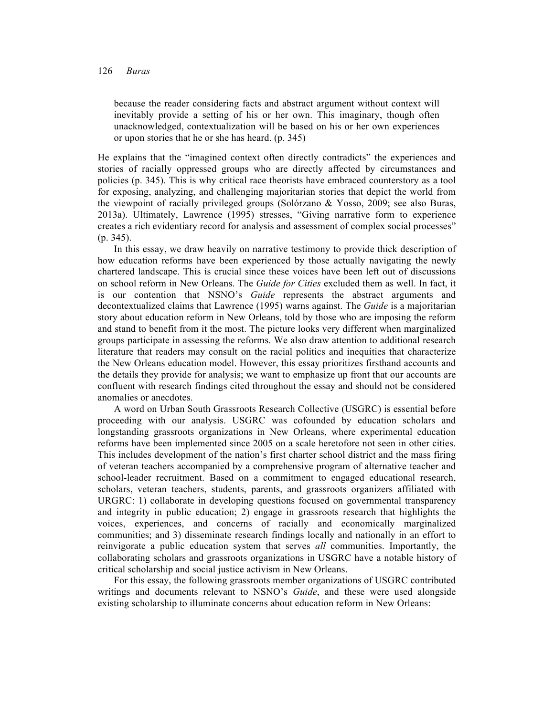because the reader considering facts and abstract argument without context will inevitably provide a setting of his or her own. This imaginary, though often unacknowledged, contextualization will be based on his or her own experiences or upon stories that he or she has heard. (p. 345)

He explains that the "imagined context often directly contradicts" the experiences and stories of racially oppressed groups who are directly affected by circumstances and policies (p. 345). This is why critical race theorists have embraced counterstory as a tool for exposing, analyzing, and challenging majoritarian stories that depict the world from the viewpoint of racially privileged groups (Solórzano & Yosso, 2009; see also Buras, 2013a). Ultimately, Lawrence (1995) stresses, "Giving narrative form to experience creates a rich evidentiary record for analysis and assessment of complex social processes" (p. 345).

In this essay, we draw heavily on narrative testimony to provide thick description of how education reforms have been experienced by those actually navigating the newly chartered landscape. This is crucial since these voices have been left out of discussions on school reform in New Orleans. The *Guide for Cities* excluded them as well. In fact, it is our contention that NSNO's *Guide* represents the abstract arguments and decontextualized claims that Lawrence (1995) warns against. The *Guide* is a majoritarian story about education reform in New Orleans, told by those who are imposing the reform and stand to benefit from it the most. The picture looks very different when marginalized groups participate in assessing the reforms. We also draw attention to additional research literature that readers may consult on the racial politics and inequities that characterize the New Orleans education model. However, this essay prioritizes firsthand accounts and the details they provide for analysis; we want to emphasize up front that our accounts are confluent with research findings cited throughout the essay and should not be considered anomalies or anecdotes.

A word on Urban South Grassroots Research Collective (USGRC) is essential before proceeding with our analysis. USGRC was cofounded by education scholars and longstanding grassroots organizations in New Orleans, where experimental education reforms have been implemented since 2005 on a scale heretofore not seen in other cities. This includes development of the nation's first charter school district and the mass firing of veteran teachers accompanied by a comprehensive program of alternative teacher and school-leader recruitment. Based on a commitment to engaged educational research, scholars, veteran teachers, students, parents, and grassroots organizers affiliated with URGRC: 1) collaborate in developing questions focused on governmental transparency and integrity in public education; 2) engage in grassroots research that highlights the voices, experiences, and concerns of racially and economically marginalized communities; and 3) disseminate research findings locally and nationally in an effort to reinvigorate a public education system that serves *all* communities. Importantly, the collaborating scholars and grassroots organizations in USGRC have a notable history of critical scholarship and social justice activism in New Orleans.

For this essay, the following grassroots member organizations of USGRC contributed writings and documents relevant to NSNO's *Guide*, and these were used alongside existing scholarship to illuminate concerns about education reform in New Orleans: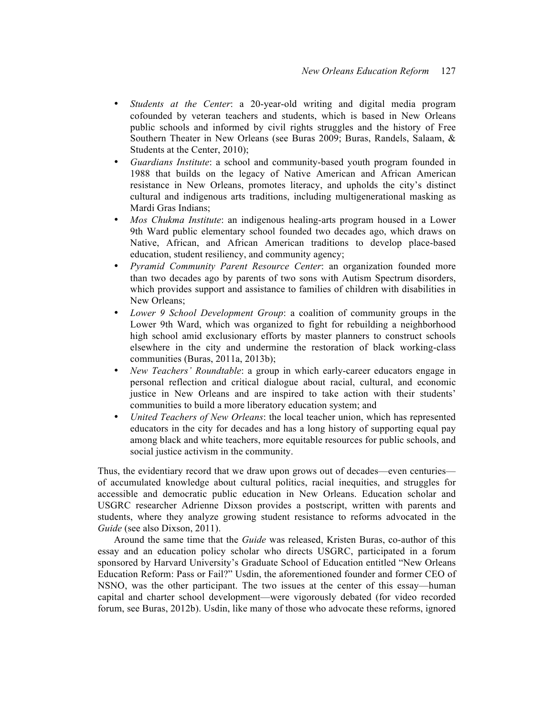- *Students at the Center*: a 20-year-old writing and digital media program cofounded by veteran teachers and students, which is based in New Orleans public schools and informed by civil rights struggles and the history of Free Southern Theater in New Orleans (see Buras 2009; Buras, Randels, Salaam, & Students at the Center, 2010);
- *Guardians Institute*: a school and community-based youth program founded in 1988 that builds on the legacy of Native American and African American resistance in New Orleans, promotes literacy, and upholds the city's distinct cultural and indigenous arts traditions, including multigenerational masking as Mardi Gras Indians;
- *Mos Chukma Institute*: an indigenous healing-arts program housed in a Lower 9th Ward public elementary school founded two decades ago, which draws on Native, African, and African American traditions to develop place-based education, student resiliency, and community agency;
- *Pyramid Community Parent Resource Center*: an organization founded more than two decades ago by parents of two sons with Autism Spectrum disorders, which provides support and assistance to families of children with disabilities in New Orleans;
- *Lower 9 School Development Group*: a coalition of community groups in the Lower 9th Ward, which was organized to fight for rebuilding a neighborhood high school amid exclusionary efforts by master planners to construct schools elsewhere in the city and undermine the restoration of black working-class communities (Buras, 2011a, 2013b);
- *New Teachers' Roundtable*: a group in which early-career educators engage in personal reflection and critical dialogue about racial, cultural, and economic justice in New Orleans and are inspired to take action with their students' communities to build a more liberatory education system; and
- *United Teachers of New Orleans*: the local teacher union, which has represented educators in the city for decades and has a long history of supporting equal pay among black and white teachers, more equitable resources for public schools, and social justice activism in the community.

Thus, the evidentiary record that we draw upon grows out of decades—even centuries of accumulated knowledge about cultural politics, racial inequities, and struggles for accessible and democratic public education in New Orleans. Education scholar and USGRC researcher Adrienne Dixson provides a postscript, written with parents and students, where they analyze growing student resistance to reforms advocated in the *Guide* (see also Dixson, 2011).

Around the same time that the *Guide* was released, Kristen Buras, co-author of this essay and an education policy scholar who directs USGRC, participated in a forum sponsored by Harvard University's Graduate School of Education entitled "New Orleans Education Reform: Pass or Fail?" Usdin, the aforementioned founder and former CEO of NSNO, was the other participant. The two issues at the center of this essay—human capital and charter school development—were vigorously debated (for video recorded forum, see Buras, 2012b). Usdin, like many of those who advocate these reforms, ignored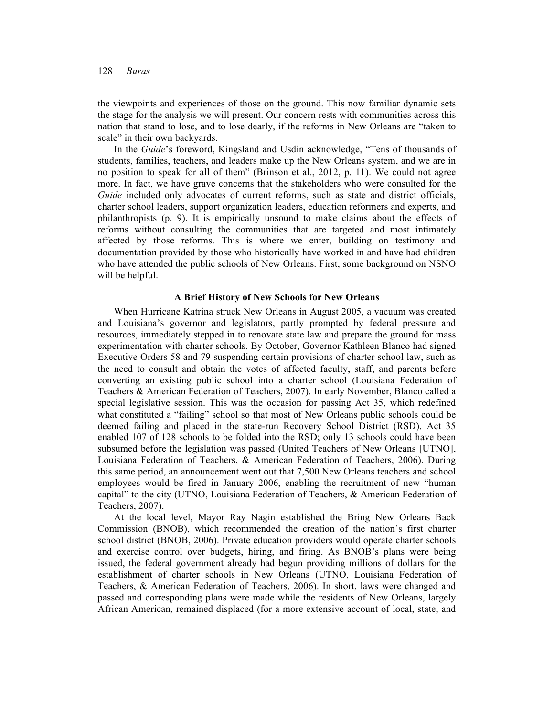the viewpoints and experiences of those on the ground. This now familiar dynamic sets the stage for the analysis we will present. Our concern rests with communities across this nation that stand to lose, and to lose dearly, if the reforms in New Orleans are "taken to scale" in their own backyards.

In the *Guide*'s foreword, Kingsland and Usdin acknowledge, "Tens of thousands of students, families, teachers, and leaders make up the New Orleans system, and we are in no position to speak for all of them" (Brinson et al., 2012, p. 11). We could not agree more. In fact, we have grave concerns that the stakeholders who were consulted for the *Guide* included only advocates of current reforms, such as state and district officials, charter school leaders, support organization leaders, education reformers and experts, and philanthropists (p. 9). It is empirically unsound to make claims about the effects of reforms without consulting the communities that are targeted and most intimately affected by those reforms. This is where we enter, building on testimony and documentation provided by those who historically have worked in and have had children who have attended the public schools of New Orleans. First, some background on NSNO will be helpful.

#### **A Brief History of New Schools for New Orleans**

When Hurricane Katrina struck New Orleans in August 2005, a vacuum was created and Louisiana's governor and legislators, partly prompted by federal pressure and resources, immediately stepped in to renovate state law and prepare the ground for mass experimentation with charter schools. By October, Governor Kathleen Blanco had signed Executive Orders 58 and 79 suspending certain provisions of charter school law, such as the need to consult and obtain the votes of affected faculty, staff, and parents before converting an existing public school into a charter school (Louisiana Federation of Teachers & American Federation of Teachers, 2007). In early November, Blanco called a special legislative session. This was the occasion for passing Act 35, which redefined what constituted a "failing" school so that most of New Orleans public schools could be deemed failing and placed in the state-run Recovery School District (RSD). Act 35 enabled 107 of 128 schools to be folded into the RSD; only 13 schools could have been subsumed before the legislation was passed (United Teachers of New Orleans [UTNO], Louisiana Federation of Teachers, & American Federation of Teachers, 2006). During this same period, an announcement went out that 7,500 New Orleans teachers and school employees would be fired in January 2006, enabling the recruitment of new "human capital" to the city (UTNO, Louisiana Federation of Teachers, & American Federation of Teachers, 2007).

At the local level, Mayor Ray Nagin established the Bring New Orleans Back Commission (BNOB), which recommended the creation of the nation's first charter school district (BNOB, 2006). Private education providers would operate charter schools and exercise control over budgets, hiring, and firing. As BNOB's plans were being issued, the federal government already had begun providing millions of dollars for the establishment of charter schools in New Orleans (UTNO, Louisiana Federation of Teachers, & American Federation of Teachers, 2006). In short, laws were changed and passed and corresponding plans were made while the residents of New Orleans, largely African American, remained displaced (for a more extensive account of local, state, and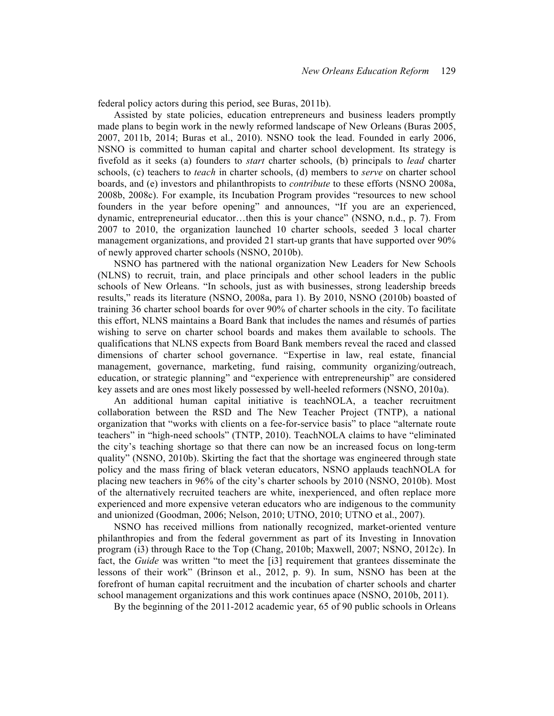federal policy actors during this period, see Buras, 2011b).

Assisted by state policies, education entrepreneurs and business leaders promptly made plans to begin work in the newly reformed landscape of New Orleans (Buras 2005, 2007, 2011b, 2014; Buras et al., 2010). NSNO took the lead. Founded in early 2006, NSNO is committed to human capital and charter school development. Its strategy is fivefold as it seeks (a) founders to *start* charter schools, (b) principals to *lead* charter schools, (c) teachers to *teach* in charter schools, (d) members to *serve* on charter school boards, and (e) investors and philanthropists to *contribute* to these efforts (NSNO 2008a, 2008b, 2008c). For example, its Incubation Program provides "resources to new school founders in the year before opening" and announces, "If you are an experienced, dynamic, entrepreneurial educator…then this is your chance" (NSNO, n.d., p. 7). From 2007 to 2010, the organization launched 10 charter schools, seeded 3 local charter management organizations, and provided 21 start-up grants that have supported over 90% of newly approved charter schools (NSNO, 2010b).

NSNO has partnered with the national organization New Leaders for New Schools (NLNS) to recruit, train, and place principals and other school leaders in the public schools of New Orleans. "In schools, just as with businesses, strong leadership breeds results," reads its literature (NSNO, 2008a, para 1). By 2010, NSNO (2010b) boasted of training 36 charter school boards for over 90% of charter schools in the city. To facilitate this effort, NLNS maintains a Board Bank that includes the names and résumés of parties wishing to serve on charter school boards and makes them available to schools. The qualifications that NLNS expects from Board Bank members reveal the raced and classed dimensions of charter school governance. "Expertise in law, real estate, financial management, governance, marketing, fund raising, community organizing/outreach, education, or strategic planning" and "experience with entrepreneurship" are considered key assets and are ones most likely possessed by well-heeled reformers (NSNO, 2010a).

An additional human capital initiative is teachNOLA, a teacher recruitment collaboration between the RSD and The New Teacher Project (TNTP), a national organization that "works with clients on a fee-for-service basis" to place "alternate route teachers" in "high-need schools" (TNTP, 2010). TeachNOLA claims to have "eliminated the city's teaching shortage so that there can now be an increased focus on long-term quality" (NSNO, 2010b). Skirting the fact that the shortage was engineered through state policy and the mass firing of black veteran educators, NSNO applauds teachNOLA for placing new teachers in 96% of the city's charter schools by 2010 (NSNO, 2010b). Most of the alternatively recruited teachers are white, inexperienced, and often replace more experienced and more expensive veteran educators who are indigenous to the community and unionized (Goodman, 2006; Nelson, 2010; UTNO, 2010; UTNO et al., 2007).

NSNO has received millions from nationally recognized, market-oriented venture philanthropies and from the federal government as part of its Investing in Innovation program (i3) through Race to the Top (Chang, 2010b; Maxwell, 2007; NSNO, 2012c). In fact, the *Guide* was written "to meet the [i3] requirement that grantees disseminate the lessons of their work" (Brinson et al., 2012, p. 9). In sum, NSNO has been at the forefront of human capital recruitment and the incubation of charter schools and charter school management organizations and this work continues apace (NSNO, 2010b, 2011).

By the beginning of the 2011-2012 academic year, 65 of 90 public schools in Orleans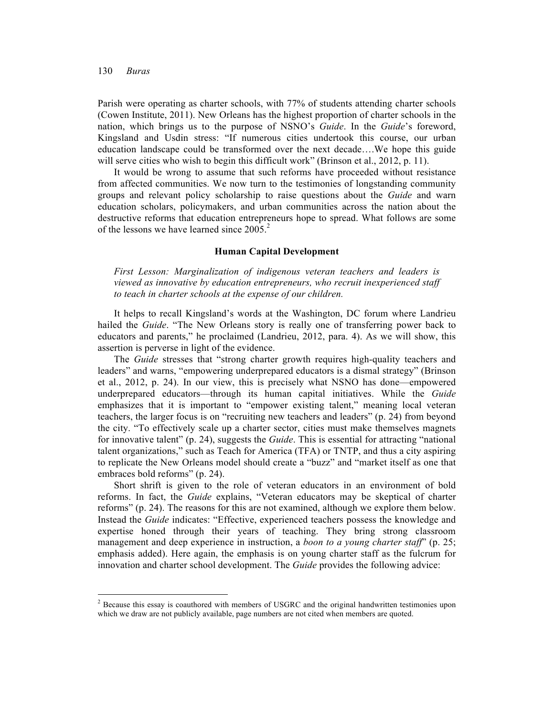Parish were operating as charter schools, with 77% of students attending charter schools (Cowen Institute, 2011). New Orleans has the highest proportion of charter schools in the nation, which brings us to the purpose of NSNO's *Guide*. In the *Guide*'s foreword, Kingsland and Usdin stress: "If numerous cities undertook this course, our urban education landscape could be transformed over the next decade….We hope this guide will serve cities who wish to begin this difficult work" (Brinson et al., 2012, p. 11).

It would be wrong to assume that such reforms have proceeded without resistance from affected communities. We now turn to the testimonies of longstanding community groups and relevant policy scholarship to raise questions about the *Guide* and warn education scholars, policymakers, and urban communities across the nation about the destructive reforms that education entrepreneurs hope to spread. What follows are some of the lessons we have learned since  $2005$ .<sup>2</sup>

#### **Human Capital Development**

*First Lesson: Marginalization of indigenous veteran teachers and leaders is viewed as innovative by education entrepreneurs, who recruit inexperienced staff to teach in charter schools at the expense of our children.* 

It helps to recall Kingsland's words at the Washington, DC forum where Landrieu hailed the *Guide*. "The New Orleans story is really one of transferring power back to educators and parents," he proclaimed (Landrieu, 2012, para. 4). As we will show, this assertion is perverse in light of the evidence.

The *Guide* stresses that "strong charter growth requires high-quality teachers and leaders" and warns, "empowering underprepared educators is a dismal strategy" (Brinson et al., 2012, p. 24). In our view, this is precisely what NSNO has done—empowered underprepared educators—through its human capital initiatives. While the *Guide* emphasizes that it is important to "empower existing talent," meaning local veteran teachers, the larger focus is on "recruiting new teachers and leaders" (p. 24) from beyond the city. "To effectively scale up a charter sector, cities must make themselves magnets for innovative talent" (p. 24), suggests the *Guide*. This is essential for attracting "national talent organizations," such as Teach for America (TFA) or TNTP, and thus a city aspiring to replicate the New Orleans model should create a "buzz" and "market itself as one that embraces bold reforms" (p. 24).

Short shrift is given to the role of veteran educators in an environment of bold reforms. In fact, the *Guide* explains, "Veteran educators may be skeptical of charter reforms" (p. 24). The reasons for this are not examined, although we explore them below. Instead the *Guide* indicates: "Effective, experienced teachers possess the knowledge and expertise honed through their years of teaching. They bring strong classroom management and deep experience in instruction, a *boon to a young charter staff*" (p. 25; emphasis added). Here again, the emphasis is on young charter staff as the fulcrum for innovation and charter school development. The *Guide* provides the following advice:

 $2$  Because this essay is coauthored with members of USGRC and the original handwritten testimonies upon which we draw are not publicly available, page numbers are not cited when members are quoted.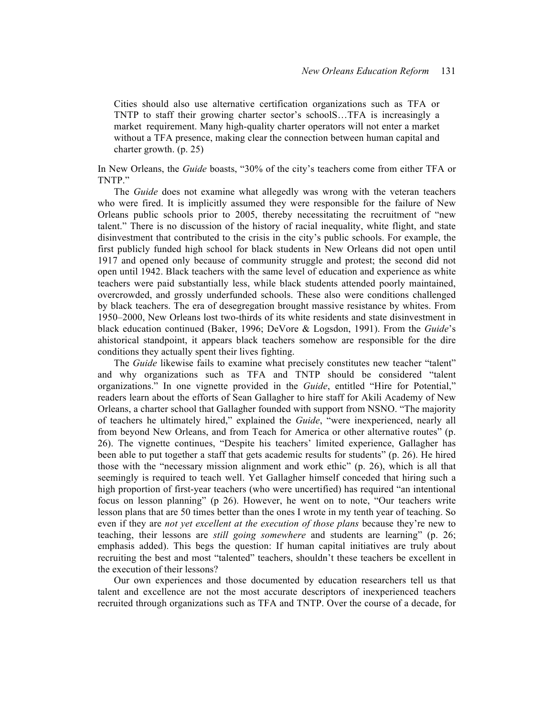Cities should also use alternative certification organizations such as TFA or TNTP to staff their growing charter sector's schoolS…TFA is increasingly a market requirement. Many high-quality charter operators will not enter a market without a TFA presence, making clear the connection between human capital and charter growth. (p. 25)

In New Orleans, the *Guide* boasts, "30% of the city's teachers come from either TFA or TNTP."

The *Guide* does not examine what allegedly was wrong with the veteran teachers who were fired. It is implicitly assumed they were responsible for the failure of New Orleans public schools prior to 2005, thereby necessitating the recruitment of "new talent." There is no discussion of the history of racial inequality, white flight, and state disinvestment that contributed to the crisis in the city's public schools. For example, the first publicly funded high school for black students in New Orleans did not open until 1917 and opened only because of community struggle and protest; the second did not open until 1942. Black teachers with the same level of education and experience as white teachers were paid substantially less, while black students attended poorly maintained, overcrowded, and grossly underfunded schools. These also were conditions challenged by black teachers. The era of desegregation brought massive resistance by whites. From 1950–2000, New Orleans lost two-thirds of its white residents and state disinvestment in black education continued (Baker, 1996; DeVore & Logsdon, 1991). From the *Guide*'s ahistorical standpoint, it appears black teachers somehow are responsible for the dire conditions they actually spent their lives fighting.

The *Guide* likewise fails to examine what precisely constitutes new teacher "talent" and why organizations such as TFA and TNTP should be considered "talent organizations." In one vignette provided in the *Guide*, entitled "Hire for Potential," readers learn about the efforts of Sean Gallagher to hire staff for Akili Academy of New Orleans, a charter school that Gallagher founded with support from NSNO. "The majority of teachers he ultimately hired," explained the *Guide*, "were inexperienced, nearly all from beyond New Orleans, and from Teach for America or other alternative routes" (p. 26). The vignette continues, "Despite his teachers' limited experience, Gallagher has been able to put together a staff that gets academic results for students" (p. 26). He hired those with the "necessary mission alignment and work ethic" (p. 26), which is all that seemingly is required to teach well. Yet Gallagher himself conceded that hiring such a high proportion of first-year teachers (who were uncertified) has required "an intentional focus on lesson planning" (p 26). However, he went on to note, "Our teachers write lesson plans that are 50 times better than the ones I wrote in my tenth year of teaching. So even if they are *not yet excellent at the execution of those plans* because they're new to teaching, their lessons are *still going somewhere* and students are learning" (p. 26; emphasis added). This begs the question: If human capital initiatives are truly about recruiting the best and most "talented" teachers, shouldn't these teachers be excellent in the execution of their lessons?

Our own experiences and those documented by education researchers tell us that talent and excellence are not the most accurate descriptors of inexperienced teachers recruited through organizations such as TFA and TNTP. Over the course of a decade, for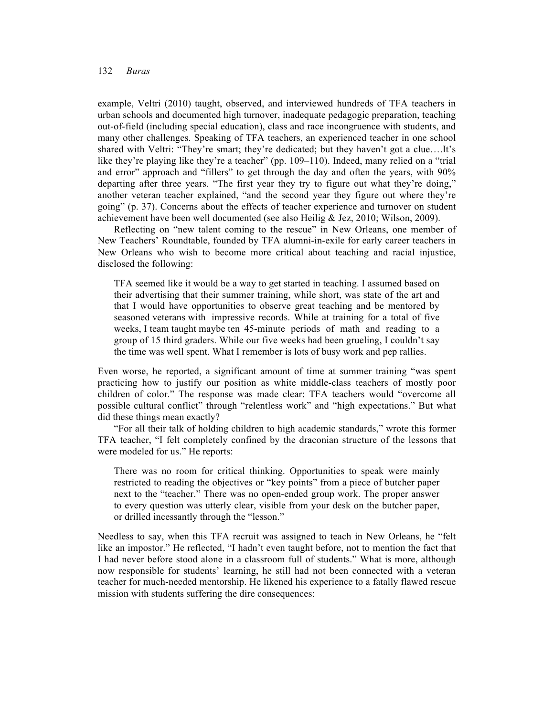example, Veltri (2010) taught, observed, and interviewed hundreds of TFA teachers in urban schools and documented high turnover, inadequate pedagogic preparation, teaching out-of-field (including special education), class and race incongruence with students, and many other challenges. Speaking of TFA teachers, an experienced teacher in one school shared with Veltri: "They're smart; they're dedicated; but they haven't got a clue….It's like they're playing like they're a teacher" (pp. 109–110). Indeed, many relied on a "trial and error" approach and "fillers" to get through the day and often the years, with 90% departing after three years. "The first year they try to figure out what they're doing," another veteran teacher explained, "and the second year they figure out where they're going" (p. 37). Concerns about the effects of teacher experience and turnover on student achievement have been well documented (see also Heilig  $&$  Jez, 2010; Wilson, 2009).

Reflecting on "new talent coming to the rescue" in New Orleans, one member of New Teachers' Roundtable, founded by TFA alumni-in-exile for early career teachers in New Orleans who wish to become more critical about teaching and racial injustice, disclosed the following:

TFA seemed like it would be a way to get started in teaching. I assumed based on their advertising that their summer training, while short, was state of the art and that I would have opportunities to observe great teaching and be mentored by seasoned veterans with impressive records. While at training for a total of five weeks, I team taught maybe ten 45-minute periods of math and reading to a group of 15 third graders. While our five weeks had been grueling, I couldn't say the time was well spent. What I remember is lots of busy work and pep rallies.

Even worse, he reported, a significant amount of time at summer training "was spent practicing how to justify our position as white middle-class teachers of mostly poor children of color." The response was made clear: TFA teachers would "overcome all possible cultural conflict" through "relentless work" and "high expectations." But what did these things mean exactly?

"For all their talk of holding children to high academic standards," wrote this former TFA teacher, "I felt completely confined by the draconian structure of the lessons that were modeled for us." He reports:

There was no room for critical thinking. Opportunities to speak were mainly restricted to reading the objectives or "key points" from a piece of butcher paper next to the "teacher." There was no open-ended group work. The proper answer to every question was utterly clear, visible from your desk on the butcher paper, or drilled incessantly through the "lesson."

Needless to say, when this TFA recruit was assigned to teach in New Orleans, he "felt like an impostor." He reflected, "I hadn't even taught before, not to mention the fact that I had never before stood alone in a classroom full of students." What is more, although now responsible for students' learning, he still had not been connected with a veteran teacher for much-needed mentorship. He likened his experience to a fatally flawed rescue mission with students suffering the dire consequences: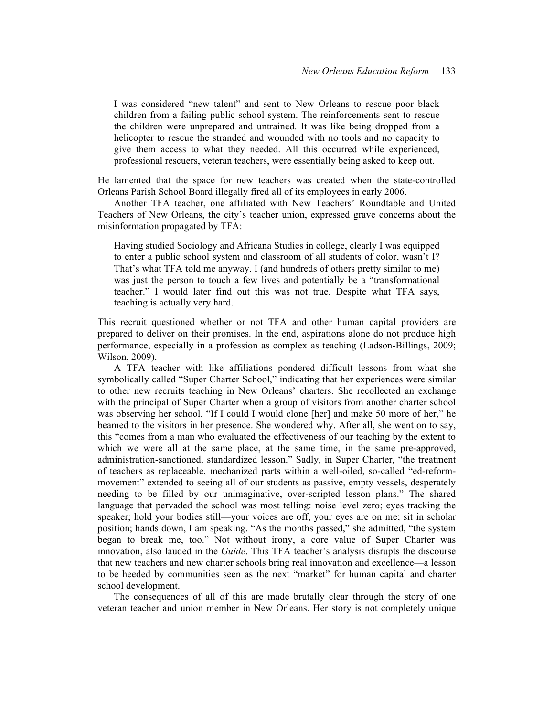I was considered "new talent" and sent to New Orleans to rescue poor black children from a failing public school system. The reinforcements sent to rescue the children were unprepared and untrained. It was like being dropped from a helicopter to rescue the stranded and wounded with no tools and no capacity to give them access to what they needed. All this occurred while experienced, professional rescuers, veteran teachers, were essentially being asked to keep out.

He lamented that the space for new teachers was created when the state-controlled Orleans Parish School Board illegally fired all of its employees in early 2006.

Another TFA teacher, one affiliated with New Teachers' Roundtable and United Teachers of New Orleans, the city's teacher union, expressed grave concerns about the misinformation propagated by TFA:

Having studied Sociology and Africana Studies in college, clearly I was equipped to enter a public school system and classroom of all students of color, wasn't I? That's what TFA told me anyway. I (and hundreds of others pretty similar to me) was just the person to touch a few lives and potentially be a "transformational teacher." I would later find out this was not true. Despite what TFA says, teaching is actually very hard.

This recruit questioned whether or not TFA and other human capital providers are prepared to deliver on their promises. In the end, aspirations alone do not produce high performance, especially in a profession as complex as teaching (Ladson-Billings, 2009; Wilson, 2009).

A TFA teacher with like affiliations pondered difficult lessons from what she symbolically called "Super Charter School," indicating that her experiences were similar to other new recruits teaching in New Orleans' charters. She recollected an exchange with the principal of Super Charter when a group of visitors from another charter school was observing her school. "If I could I would clone [her] and make 50 more of her," he beamed to the visitors in her presence. She wondered why. After all, she went on to say, this "comes from a man who evaluated the effectiveness of our teaching by the extent to which we were all at the same place, at the same time, in the same pre-approved, administration-sanctioned, standardized lesson." Sadly, in Super Charter, "the treatment of teachers as replaceable, mechanized parts within a well-oiled, so-called "ed-reformmovement" extended to seeing all of our students as passive, empty vessels, desperately needing to be filled by our unimaginative, over-scripted lesson plans." The shared language that pervaded the school was most telling: noise level zero; eyes tracking the speaker; hold your bodies still—your voices are off, your eyes are on me; sit in scholar position; hands down, I am speaking. "As the months passed," she admitted, "the system began to break me, too." Not without irony, a core value of Super Charter was innovation, also lauded in the *Guide*. This TFA teacher's analysis disrupts the discourse that new teachers and new charter schools bring real innovation and excellence—a lesson to be heeded by communities seen as the next "market" for human capital and charter school development.

The consequences of all of this are made brutally clear through the story of one veteran teacher and union member in New Orleans. Her story is not completely unique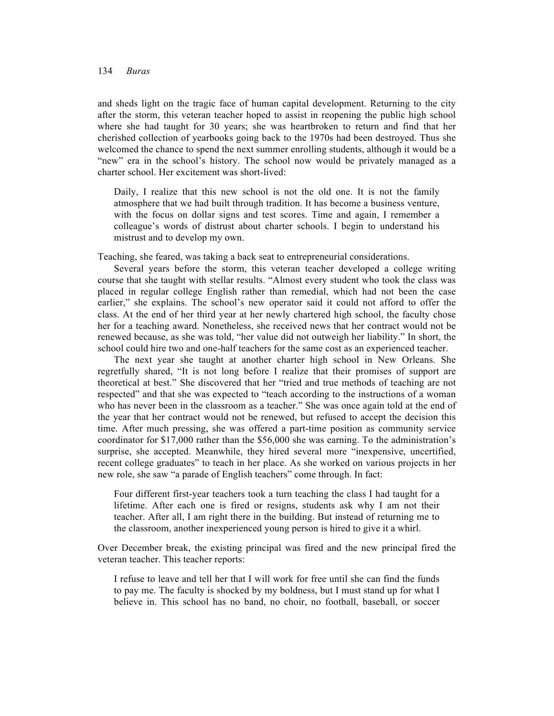and sheds light on the tragic face of human capital development. Returning to the city after the storm, this veteran teacher hoped to assist in reopening the public high school where she had taught for 30 years; she was heartbroken to return and find that her cherished collection of yearbooks going back to the 1970s had been destroyed. Thus she welcomed the chance to spend the next summer enrolling students, although it would be a "new" era in the school's history. The school now would be privately managed as a charter school. Her excitement was short-lived:

Daily, I realize that this new school is not the old one. It is not the family atmosphere that we had built through tradition. It has become a business venture, with the focus on dollar signs and test scores. Time and again, I remember a colleague's words of distrust about charter schools. I begin to understand his mistrust and to develop my own.

Teaching, she feared, was taking a back seat to entrepreneurial considerations.

Several years before the storm, this veteran teacher developed a college writing course that she taught with stellar results. "Almost every student who took the class was placed in regular college English rather than remedial, which had not been the case earlier," she explains. The school's new operator said it could not afford to offer the class. At the end of her third year at her newly chartered high school, the faculty chose her for a teaching award. Nonetheless, she received news that her contract would not be renewed because, as she was told, "her value did not outweigh her liability." In short, the school could hire two and one-half teachers for the same cost as an experienced teacher.

The next year she taught at another charter high school in New Orleans. She regretfully shared, "It is not long before I realize that their promises of support are theoretical at best." She discovered that her "tried and true methods of teaching are not respected" and that she was expected to "teach according to the instructions of a woman who has never been in the classroom as a teacher." She was once again told at the end of the year that her contract would not be renewed, but refused to accept the decision this time. After much pressing, she was offered a part-time position as community service coordinator for \$17,000 rather than the \$56,000 she was earning. To the administration's surprise, she accepted. Meanwhile, they hired several more "inexpensive, uncertified, recent college graduates" to teach in her place. As she worked on various projects in her new role, she saw "a parade of English teachers" come through. In fact:

Four different first-year teachers took a turn teaching the class I had taught for a lifetime. After each one is fired or resigns, students ask why I am not their teacher. After all, I am right there in the building. But instead of returning me to the classroom, another inexperienced young person is hired to give it a whirl.

Over December break, the existing principal was fired and the new principal fired the veteran teacher. This teacher reports:

I refuse to leave and tell her that I will work for free until she can find the funds to pay me. The faculty is shocked by my boldness, but I must stand up for what I believe in. This school has no band, no choir, no football, baseball, or soccer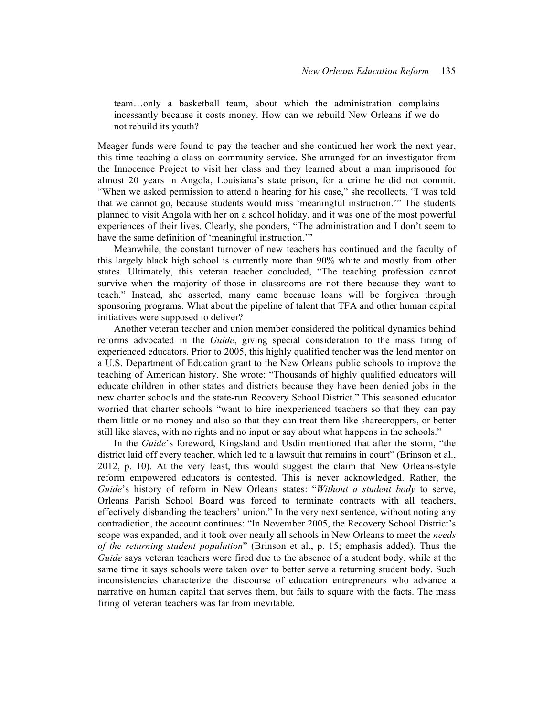team…only a basketball team, about which the administration complains incessantly because it costs money. How can we rebuild New Orleans if we do not rebuild its youth?

Meager funds were found to pay the teacher and she continued her work the next year, this time teaching a class on community service. She arranged for an investigator from the Innocence Project to visit her class and they learned about a man imprisoned for almost 20 years in Angola, Louisiana's state prison, for a crime he did not commit. "When we asked permission to attend a hearing for his case," she recollects, "I was told that we cannot go, because students would miss 'meaningful instruction.'" The students planned to visit Angola with her on a school holiday, and it was one of the most powerful experiences of their lives. Clearly, she ponders, "The administration and I don't seem to have the same definition of 'meaningful instruction.'"

Meanwhile, the constant turnover of new teachers has continued and the faculty of this largely black high school is currently more than 90% white and mostly from other states. Ultimately, this veteran teacher concluded, "The teaching profession cannot survive when the majority of those in classrooms are not there because they want to teach." Instead, she asserted, many came because loans will be forgiven through sponsoring programs. What about the pipeline of talent that TFA and other human capital initiatives were supposed to deliver?

Another veteran teacher and union member considered the political dynamics behind reforms advocated in the *Guide*, giving special consideration to the mass firing of experienced educators. Prior to 2005, this highly qualified teacher was the lead mentor on a U.S. Department of Education grant to the New Orleans public schools to improve the teaching of American history. She wrote: "Thousands of highly qualified educators will educate children in other states and districts because they have been denied jobs in the new charter schools and the state-run Recovery School District." This seasoned educator worried that charter schools "want to hire inexperienced teachers so that they can pay them little or no money and also so that they can treat them like sharecroppers, or better still like slaves, with no rights and no input or say about what happens in the schools."

In the *Guide*'s foreword, Kingsland and Usdin mentioned that after the storm, "the district laid off every teacher, which led to a lawsuit that remains in court" (Brinson et al., 2012, p. 10). At the very least, this would suggest the claim that New Orleans-style reform empowered educators is contested. This is never acknowledged. Rather, the *Guide*'s history of reform in New Orleans states: "*Without a student body* to serve, Orleans Parish School Board was forced to terminate contracts with all teachers, effectively disbanding the teachers' union." In the very next sentence, without noting any contradiction, the account continues: "In November 2005, the Recovery School District's scope was expanded, and it took over nearly all schools in New Orleans to meet the *needs of the returning student population*" (Brinson et al., p. 15; emphasis added). Thus the *Guide* says veteran teachers were fired due to the absence of a student body, while at the same time it says schools were taken over to better serve a returning student body. Such inconsistencies characterize the discourse of education entrepreneurs who advance a narrative on human capital that serves them, but fails to square with the facts. The mass firing of veteran teachers was far from inevitable.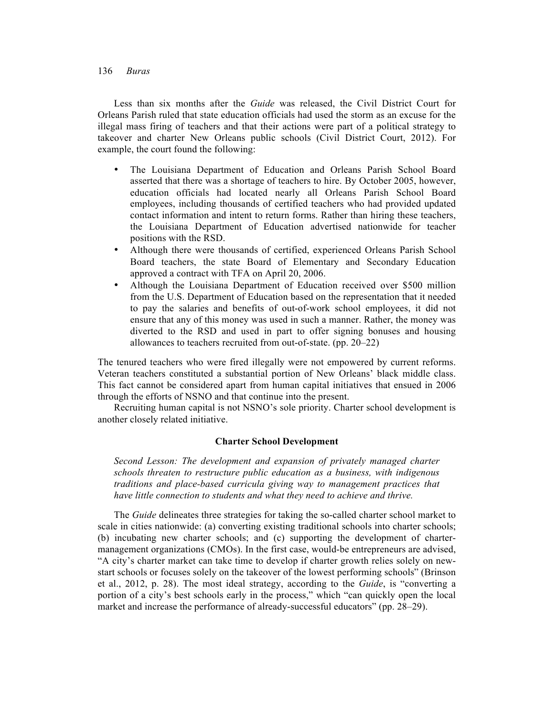Less than six months after the *Guide* was released, the Civil District Court for Orleans Parish ruled that state education officials had used the storm as an excuse for the illegal mass firing of teachers and that their actions were part of a political strategy to takeover and charter New Orleans public schools (Civil District Court, 2012). For example, the court found the following:

- The Louisiana Department of Education and Orleans Parish School Board asserted that there was a shortage of teachers to hire. By October 2005, however, education officials had located nearly all Orleans Parish School Board employees, including thousands of certified teachers who had provided updated contact information and intent to return forms. Rather than hiring these teachers, the Louisiana Department of Education advertised nationwide for teacher positions with the RSD.
- Although there were thousands of certified, experienced Orleans Parish School Board teachers, the state Board of Elementary and Secondary Education approved a contract with TFA on April 20, 2006.
- Although the Louisiana Department of Education received over \$500 million from the U.S. Department of Education based on the representation that it needed to pay the salaries and benefits of out-of-work school employees, it did not ensure that any of this money was used in such a manner. Rather, the money was diverted to the RSD and used in part to offer signing bonuses and housing allowances to teachers recruited from out-of-state. (pp. 20–22)

The tenured teachers who were fired illegally were not empowered by current reforms. Veteran teachers constituted a substantial portion of New Orleans' black middle class. This fact cannot be considered apart from human capital initiatives that ensued in 2006 through the efforts of NSNO and that continue into the present.

Recruiting human capital is not NSNO's sole priority. Charter school development is another closely related initiative.

#### **Charter School Development**

*Second Lesson: The development and expansion of privately managed charter schools threaten to restructure public education as a business, with indigenous traditions and place-based curricula giving way to management practices that have little connection to students and what they need to achieve and thrive.*

The *Guide* delineates three strategies for taking the so-called charter school market to scale in cities nationwide: (a) converting existing traditional schools into charter schools; (b) incubating new charter schools; and (c) supporting the development of chartermanagement organizations (CMOs). In the first case, would-be entrepreneurs are advised, "A city's charter market can take time to develop if charter growth relies solely on newstart schools or focuses solely on the takeover of the lowest performing schools" (Brinson et al., 2012, p. 28). The most ideal strategy, according to the *Guide*, is "converting a portion of a city's best schools early in the process," which "can quickly open the local market and increase the performance of already-successful educators" (pp. 28–29).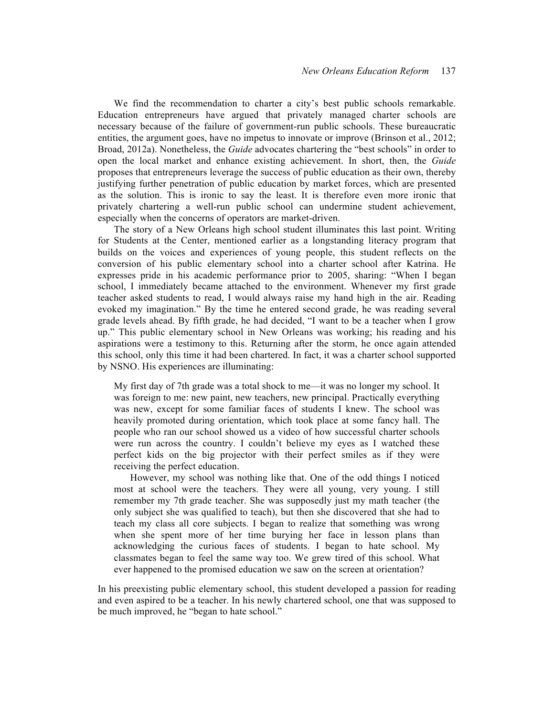We find the recommendation to charter a city's best public schools remarkable. Education entrepreneurs have argued that privately managed charter schools are necessary because of the failure of government-run public schools. These bureaucratic entities, the argument goes, have no impetus to innovate or improve (Brinson et al., 2012; Broad, 2012a). Nonetheless, the *Guide* advocates chartering the "best schools" in order to open the local market and enhance existing achievement. In short, then, the *Guide* proposes that entrepreneurs leverage the success of public education as their own, thereby justifying further penetration of public education by market forces, which are presented as the solution. This is ironic to say the least. It is therefore even more ironic that privately chartering a well-run public school can undermine student achievement, especially when the concerns of operators are market-driven.

The story of a New Orleans high school student illuminates this last point. Writing for Students at the Center, mentioned earlier as a longstanding literacy program that builds on the voices and experiences of young people, this student reflects on the conversion of his public elementary school into a charter school after Katrina. He expresses pride in his academic performance prior to 2005, sharing: "When I began school, I immediately became attached to the environment. Whenever my first grade teacher asked students to read, I would always raise my hand high in the air. Reading evoked my imagination." By the time he entered second grade, he was reading several grade levels ahead. By fifth grade, he had decided, "I want to be a teacher when I grow up." This public elementary school in New Orleans was working; his reading and his aspirations were a testimony to this. Returning after the storm, he once again attended this school, only this time it had been chartered. In fact, it was a charter school supported by NSNO. His experiences are illuminating:

My first day of 7th grade was a total shock to me—it was no longer my school. It was foreign to me: new paint, new teachers, new principal. Practically everything was new, except for some familiar faces of students I knew. The school was heavily promoted during orientation, which took place at some fancy hall. The people who ran our school showed us a video of how successful charter schools were run across the country. I couldn't believe my eyes as I watched these perfect kids on the big projector with their perfect smiles as if they were receiving the perfect education.

However, my school was nothing like that. One of the odd things I noticed most at school were the teachers. They were all young, very young. I still remember my 7th grade teacher. She was supposedly just my math teacher (the only subject she was qualified to teach), but then she discovered that she had to teach my class all core subjects. I began to realize that something was wrong when she spent more of her time burying her face in lesson plans than acknowledging the curious faces of students. I began to hate school. My classmates began to feel the same way too. We grew tired of this school. What ever happened to the promised education we saw on the screen at orientation?

In his preexisting public elementary school, this student developed a passion for reading and even aspired to be a teacher. In his newly chartered school, one that was supposed to be much improved, he "began to hate school."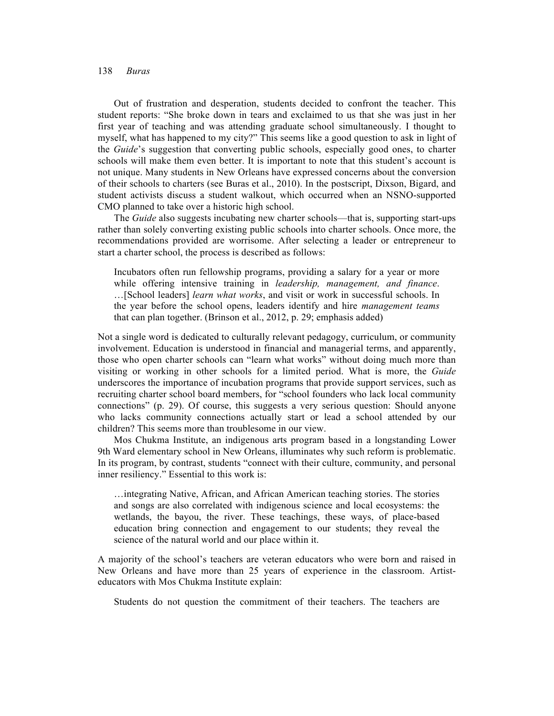Out of frustration and desperation, students decided to confront the teacher. This student reports: "She broke down in tears and exclaimed to us that she was just in her first year of teaching and was attending graduate school simultaneously. I thought to myself, what has happened to my city?" This seems like a good question to ask in light of the *Guide*'s suggestion that converting public schools, especially good ones, to charter schools will make them even better. It is important to note that this student's account is not unique. Many students in New Orleans have expressed concerns about the conversion of their schools to charters (see Buras et al., 2010). In the postscript, Dixson, Bigard, and student activists discuss a student walkout, which occurred when an NSNO-supported CMO planned to take over a historic high school.

The *Guide* also suggests incubating new charter schools—that is, supporting start-ups rather than solely converting existing public schools into charter schools. Once more, the recommendations provided are worrisome. After selecting a leader or entrepreneur to start a charter school, the process is described as follows:

Incubators often run fellowship programs, providing a salary for a year or more while offering intensive training in *leadership, management, and finance*. …[School leaders] *learn what works*, and visit or work in successful schools. In the year before the school opens, leaders identify and hire *management teams* that can plan together. (Brinson et al., 2012, p. 29; emphasis added)

Not a single word is dedicated to culturally relevant pedagogy, curriculum, or community involvement. Education is understood in financial and managerial terms, and apparently, those who open charter schools can "learn what works" without doing much more than visiting or working in other schools for a limited period. What is more, the *Guide* underscores the importance of incubation programs that provide support services, such as recruiting charter school board members, for "school founders who lack local community connections" (p. 29). Of course, this suggests a very serious question: Should anyone who lacks community connections actually start or lead a school attended by our children? This seems more than troublesome in our view.

Mos Chukma Institute, an indigenous arts program based in a longstanding Lower 9th Ward elementary school in New Orleans, illuminates why such reform is problematic. In its program, by contrast, students "connect with their culture, community, and personal inner resiliency." Essential to this work is:

…integrating Native, African, and African American teaching stories. The stories and songs are also correlated with indigenous science and local ecosystems: the wetlands, the bayou, the river. These teachings, these ways, of place-based education bring connection and engagement to our students; they reveal the science of the natural world and our place within it.

A majority of the school's teachers are veteran educators who were born and raised in New Orleans and have more than 25 years of experience in the classroom. Artisteducators with Mos Chukma Institute explain:

Students do not question the commitment of their teachers. The teachers are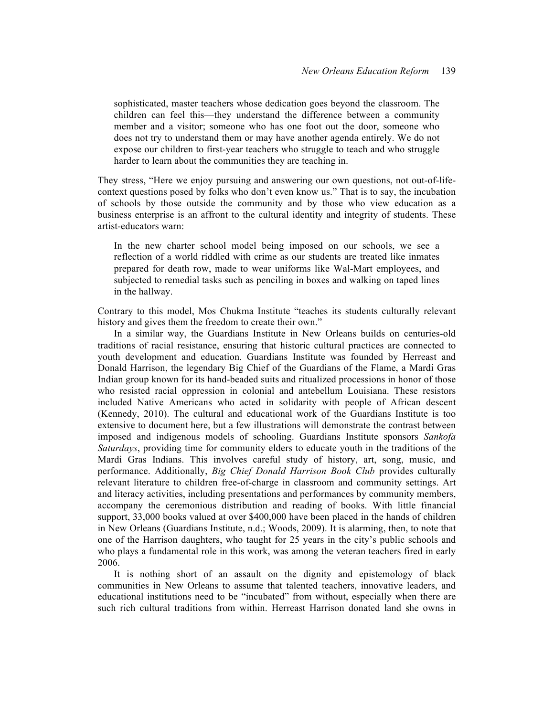sophisticated, master teachers whose dedication goes beyond the classroom. The children can feel this—they understand the difference between a community member and a visitor; someone who has one foot out the door, someone who does not try to understand them or may have another agenda entirely. We do not expose our children to first-year teachers who struggle to teach and who struggle harder to learn about the communities they are teaching in.

They stress, "Here we enjoy pursuing and answering our own questions, not out-of-lifecontext questions posed by folks who don't even know us." That is to say, the incubation of schools by those outside the community and by those who view education as a business enterprise is an affront to the cultural identity and integrity of students. These artist-educators warn:

In the new charter school model being imposed on our schools, we see a reflection of a world riddled with crime as our students are treated like inmates prepared for death row, made to wear uniforms like Wal-Mart employees, and subjected to remedial tasks such as penciling in boxes and walking on taped lines in the hallway.

Contrary to this model, Mos Chukma Institute "teaches its students culturally relevant history and gives them the freedom to create their own."

In a similar way, the Guardians Institute in New Orleans builds on centuries-old traditions of racial resistance, ensuring that historic cultural practices are connected to youth development and education. Guardians Institute was founded by Herreast and Donald Harrison, the legendary Big Chief of the Guardians of the Flame, a Mardi Gras Indian group known for its hand-beaded suits and ritualized processions in honor of those who resisted racial oppression in colonial and antebellum Louisiana. These resistors included Native Americans who acted in solidarity with people of African descent (Kennedy, 2010). The cultural and educational work of the Guardians Institute is too extensive to document here, but a few illustrations will demonstrate the contrast between imposed and indigenous models of schooling. Guardians Institute sponsors *Sankofa Saturdays*, providing time for community elders to educate youth in the traditions of the Mardi Gras Indians. This involves careful study of history, art, song, music, and performance. Additionally, *Big Chief Donald Harrison Book Club* provides culturally relevant literature to children free-of-charge in classroom and community settings. Art and literacy activities, including presentations and performances by community members, accompany the ceremonious distribution and reading of books. With little financial support, 33,000 books valued at over \$400,000 have been placed in the hands of children in New Orleans (Guardians Institute, n.d.; Woods, 2009). It is alarming, then, to note that one of the Harrison daughters, who taught for 25 years in the city's public schools and who plays a fundamental role in this work, was among the veteran teachers fired in early 2006.

It is nothing short of an assault on the dignity and epistemology of black communities in New Orleans to assume that talented teachers, innovative leaders, and educational institutions need to be "incubated" from without, especially when there are such rich cultural traditions from within. Herreast Harrison donated land she owns in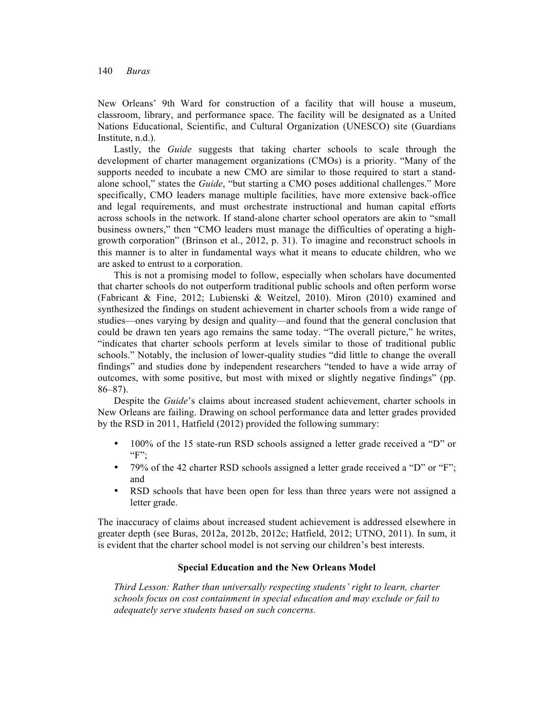New Orleans' 9th Ward for construction of a facility that will house a museum, classroom, library, and performance space. The facility will be designated as a United Nations Educational, Scientific, and Cultural Organization (UNESCO) site (Guardians Institute, n.d.).

Lastly, the *Guide* suggests that taking charter schools to scale through the development of charter management organizations (CMOs) is a priority. "Many of the supports needed to incubate a new CMO are similar to those required to start a standalone school," states the *Guide*, "but starting a CMO poses additional challenges." More specifically, CMO leaders manage multiple facilities, have more extensive back-office and legal requirements, and must orchestrate instructional and human capital efforts across schools in the network. If stand-alone charter school operators are akin to "small business owners," then "CMO leaders must manage the difficulties of operating a highgrowth corporation" (Brinson et al., 2012, p. 31). To imagine and reconstruct schools in this manner is to alter in fundamental ways what it means to educate children, who we are asked to entrust to a corporation.

This is not a promising model to follow, especially when scholars have documented that charter schools do not outperform traditional public schools and often perform worse (Fabricant & Fine, 2012; Lubienski & Weitzel, 2010). Miron (2010) examined and synthesized the findings on student achievement in charter schools from a wide range of studies—ones varying by design and quality—and found that the general conclusion that could be drawn ten years ago remains the same today. "The overall picture," he writes, "indicates that charter schools perform at levels similar to those of traditional public schools." Notably, the inclusion of lower-quality studies "did little to change the overall findings" and studies done by independent researchers "tended to have a wide array of outcomes, with some positive, but most with mixed or slightly negative findings" (pp. 86–87).

Despite the *Guide*'s claims about increased student achievement, charter schools in New Orleans are failing. Drawing on school performance data and letter grades provided by the RSD in 2011, Hatfield (2012) provided the following summary:

- 100% of the 15 state-run RSD schools assigned a letter grade received a "D" or  $"F"$ :
- 79% of the 42 charter RSD schools assigned a letter grade received a "D" or "F"; and
- RSD schools that have been open for less than three years were not assigned a letter grade.

The inaccuracy of claims about increased student achievement is addressed elsewhere in greater depth (see Buras, 2012a, 2012b, 2012c; Hatfield, 2012; UTNO, 2011). In sum, it is evident that the charter school model is not serving our children's best interests.

#### **Special Education and the New Orleans Model**

*Third Lesson: Rather than universally respecting students' right to learn, charter schools focus on cost containment in special education and may exclude or fail to adequately serve students based on such concerns.*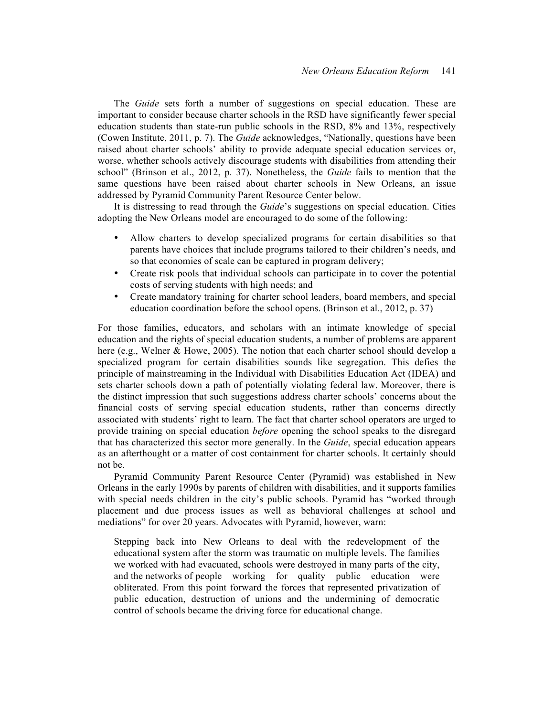The *Guide* sets forth a number of suggestions on special education. These are important to consider because charter schools in the RSD have significantly fewer special education students than state-run public schools in the RSD, 8% and 13%, respectively (Cowen Institute, 2011, p. 7). The *Guide* acknowledges, "Nationally, questions have been raised about charter schools' ability to provide adequate special education services or, worse, whether schools actively discourage students with disabilities from attending their school" (Brinson et al., 2012, p. 37). Nonetheless, the *Guide* fails to mention that the same questions have been raised about charter schools in New Orleans, an issue addressed by Pyramid Community Parent Resource Center below.

It is distressing to read through the *Guide*'s suggestions on special education. Cities adopting the New Orleans model are encouraged to do some of the following:

- Allow charters to develop specialized programs for certain disabilities so that parents have choices that include programs tailored to their children's needs, and so that economies of scale can be captured in program delivery;
- Create risk pools that individual schools can participate in to cover the potential costs of serving students with high needs; and
- Create mandatory training for charter school leaders, board members, and special education coordination before the school opens. (Brinson et al., 2012, p. 37)

For those families, educators, and scholars with an intimate knowledge of special education and the rights of special education students, a number of problems are apparent here (e.g., Welner & Howe, 2005). The notion that each charter school should develop a specialized program for certain disabilities sounds like segregation. This defies the principle of mainstreaming in the Individual with Disabilities Education Act (IDEA) and sets charter schools down a path of potentially violating federal law. Moreover, there is the distinct impression that such suggestions address charter schools' concerns about the financial costs of serving special education students, rather than concerns directly associated with students' right to learn. The fact that charter school operators are urged to provide training on special education *before* opening the school speaks to the disregard that has characterized this sector more generally. In the *Guide*, special education appears as an afterthought or a matter of cost containment for charter schools. It certainly should not be.

Pyramid Community Parent Resource Center (Pyramid) was established in New Orleans in the early 1990s by parents of children with disabilities, and it supports families with special needs children in the city's public schools. Pyramid has "worked through placement and due process issues as well as behavioral challenges at school and mediations" for over 20 years. Advocates with Pyramid, however, warn:

Stepping back into New Orleans to deal with the redevelopment of the educational system after the storm was traumatic on multiple levels. The families we worked with had evacuated, schools were destroyed in many parts of the city, and the networks of people working for quality public education were obliterated. From this point forward the forces that represented privatization of public education, destruction of unions and the undermining of democratic control of schools became the driving force for educational change.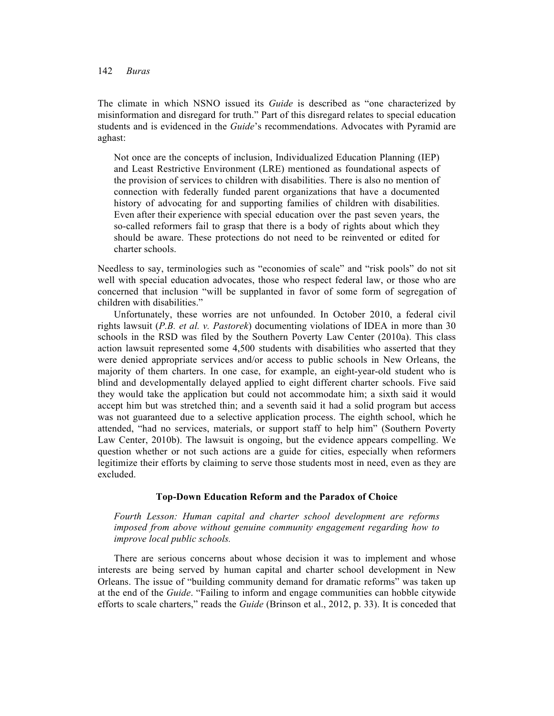The climate in which NSNO issued its *Guide* is described as "one characterized by misinformation and disregard for truth." Part of this disregard relates to special education students and is evidenced in the *Guide*'s recommendations. Advocates with Pyramid are aghast:

Not once are the concepts of inclusion, Individualized Education Planning (IEP) and Least Restrictive Environment (LRE) mentioned as foundational aspects of the provision of services to children with disabilities. There is also no mention of connection with federally funded parent organizations that have a documented history of advocating for and supporting families of children with disabilities. Even after their experience with special education over the past seven years, the so-called reformers fail to grasp that there is a body of rights about which they should be aware. These protections do not need to be reinvented or edited for charter schools.

Needless to say, terminologies such as "economies of scale" and "risk pools" do not sit well with special education advocates, those who respect federal law, or those who are concerned that inclusion "will be supplanted in favor of some form of segregation of children with disabilities."

Unfortunately, these worries are not unfounded. In October 2010, a federal civil rights lawsuit (*P.B. et al. v. Pastorek*) documenting violations of IDEA in more than 30 schools in the RSD was filed by the Southern Poverty Law Center (2010a). This class action lawsuit represented some 4,500 students with disabilities who asserted that they were denied appropriate services and/or access to public schools in New Orleans, the majority of them charters. In one case, for example, an eight-year-old student who is blind and developmentally delayed applied to eight different charter schools. Five said they would take the application but could not accommodate him; a sixth said it would accept him but was stretched thin; and a seventh said it had a solid program but access was not guaranteed due to a selective application process. The eighth school, which he attended, "had no services, materials, or support staff to help him" (Southern Poverty Law Center, 2010b). The lawsuit is ongoing, but the evidence appears compelling. We question whether or not such actions are a guide for cities, especially when reformers legitimize their efforts by claiming to serve those students most in need, even as they are excluded.

#### **Top-Down Education Reform and the Paradox of Choice**

*Fourth Lesson: Human capital and charter school development are reforms imposed from above without genuine community engagement regarding how to improve local public schools.* 

There are serious concerns about whose decision it was to implement and whose interests are being served by human capital and charter school development in New Orleans. The issue of "building community demand for dramatic reforms" was taken up at the end of the *Guide*. "Failing to inform and engage communities can hobble citywide efforts to scale charters," reads the *Guide* (Brinson et al., 2012, p. 33). It is conceded that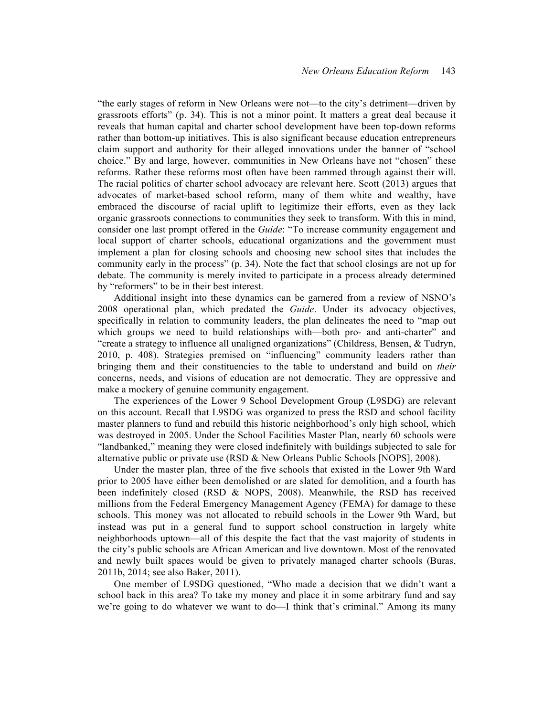"the early stages of reform in New Orleans were not—to the city's detriment—driven by grassroots efforts" (p. 34). This is not a minor point. It matters a great deal because it reveals that human capital and charter school development have been top-down reforms rather than bottom-up initiatives. This is also significant because education entrepreneurs claim support and authority for their alleged innovations under the banner of "school choice." By and large, however, communities in New Orleans have not "chosen" these reforms. Rather these reforms most often have been rammed through against their will. The racial politics of charter school advocacy are relevant here. Scott (2013) argues that advocates of market-based school reform, many of them white and wealthy, have embraced the discourse of racial uplift to legitimize their efforts, even as they lack organic grassroots connections to communities they seek to transform. With this in mind, consider one last prompt offered in the *Guide*: "To increase community engagement and local support of charter schools, educational organizations and the government must implement a plan for closing schools and choosing new school sites that includes the community early in the process" (p. 34). Note the fact that school closings are not up for debate. The community is merely invited to participate in a process already determined by "reformers" to be in their best interest.

Additional insight into these dynamics can be garnered from a review of NSNO's 2008 operational plan, which predated the *Guide*. Under its advocacy objectives, specifically in relation to community leaders, the plan delineates the need to "map out which groups we need to build relationships with—both pro- and anti-charter" and "create a strategy to influence all unaligned organizations" (Childress, Bensen, & Tudryn, 2010, p. 408). Strategies premised on "influencing" community leaders rather than bringing them and their constituencies to the table to understand and build on *their* concerns, needs, and visions of education are not democratic. They are oppressive and make a mockery of genuine community engagement.

The experiences of the Lower 9 School Development Group (L9SDG) are relevant on this account. Recall that L9SDG was organized to press the RSD and school facility master planners to fund and rebuild this historic neighborhood's only high school, which was destroyed in 2005. Under the School Facilities Master Plan, nearly 60 schools were "landbanked," meaning they were closed indefinitely with buildings subjected to sale for alternative public or private use (RSD & New Orleans Public Schools [NOPS], 2008).

Under the master plan, three of the five schools that existed in the Lower 9th Ward prior to 2005 have either been demolished or are slated for demolition, and a fourth has been indefinitely closed (RSD & NOPS, 2008). Meanwhile, the RSD has received millions from the Federal Emergency Management Agency (FEMA) for damage to these schools. This money was not allocated to rebuild schools in the Lower 9th Ward, but instead was put in a general fund to support school construction in largely white neighborhoods uptown—all of this despite the fact that the vast majority of students in the city's public schools are African American and live downtown. Most of the renovated and newly built spaces would be given to privately managed charter schools (Buras, 2011b, 2014; see also Baker, 2011).

One member of L9SDG questioned, "Who made a decision that we didn't want a school back in this area? To take my money and place it in some arbitrary fund and say we're going to do whatever we want to do—I think that's criminal." Among its many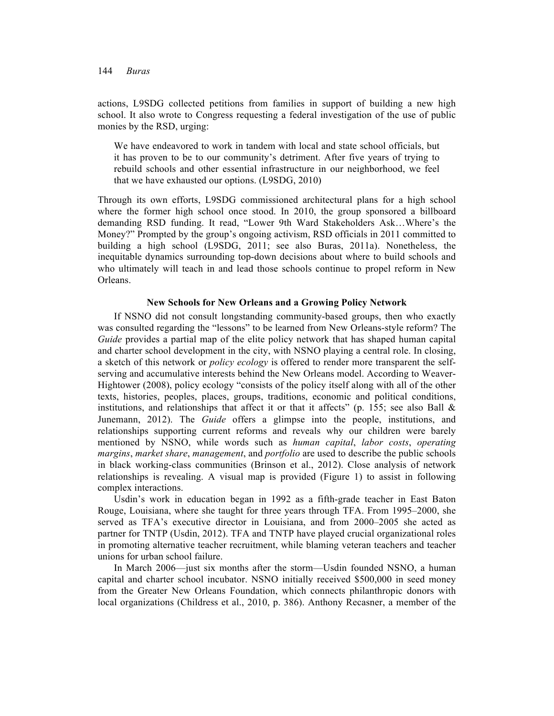actions, L9SDG collected petitions from families in support of building a new high school. It also wrote to Congress requesting a federal investigation of the use of public monies by the RSD, urging:

We have endeavored to work in tandem with local and state school officials, but it has proven to be to our community's detriment. After five years of trying to rebuild schools and other essential infrastructure in our neighborhood, we feel that we have exhausted our options. (L9SDG, 2010)

Through its own efforts, L9SDG commissioned architectural plans for a high school where the former high school once stood. In 2010, the group sponsored a billboard demanding RSD funding. It read, "Lower 9th Ward Stakeholders Ask…Where's the Money?" Prompted by the group's ongoing activism, RSD officials in 2011 committed to building a high school (L9SDG, 2011; see also Buras, 2011a). Nonetheless, the inequitable dynamics surrounding top-down decisions about where to build schools and who ultimately will teach in and lead those schools continue to propel reform in New Orleans.

#### **New Schools for New Orleans and a Growing Policy Network**

If NSNO did not consult longstanding community-based groups, then who exactly was consulted regarding the "lessons" to be learned from New Orleans-style reform? The *Guide* provides a partial map of the elite policy network that has shaped human capital and charter school development in the city, with NSNO playing a central role. In closing, a sketch of this network or *policy ecology* is offered to render more transparent the selfserving and accumulative interests behind the New Orleans model. According to Weaver-Hightower (2008), policy ecology "consists of the policy itself along with all of the other texts, histories, peoples, places, groups, traditions, economic and political conditions, institutions, and relationships that affect it or that it affects" (p. 155; see also Ball  $\&$ Junemann, 2012). The *Guide* offers a glimpse into the people, institutions, and relationships supporting current reforms and reveals why our children were barely mentioned by NSNO, while words such as *human capital*, *labor costs*, *operating margins*, *market share*, *management*, and *portfolio* are used to describe the public schools in black working-class communities (Brinson et al., 2012). Close analysis of network relationships is revealing. A visual map is provided (Figure 1) to assist in following complex interactions.

Usdin's work in education began in 1992 as a fifth-grade teacher in East Baton Rouge, Louisiana, where she taught for three years through TFA. From 1995–2000, she served as TFA's executive director in Louisiana, and from 2000–2005 she acted as partner for TNTP (Usdin, 2012). TFA and TNTP have played crucial organizational roles in promoting alternative teacher recruitment, while blaming veteran teachers and teacher unions for urban school failure.

In March 2006—just six months after the storm—Usdin founded NSNO, a human capital and charter school incubator. NSNO initially received \$500,000 in seed money from the Greater New Orleans Foundation, which connects philanthropic donors with local organizations (Childress et al., 2010, p. 386). Anthony Recasner, a member of the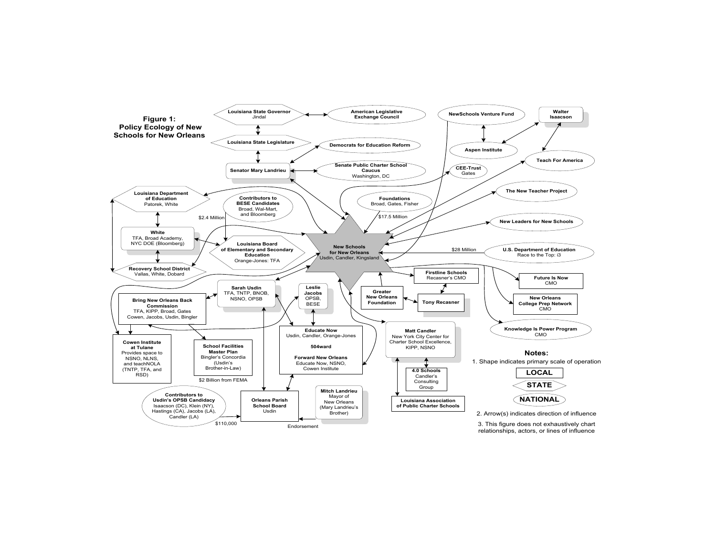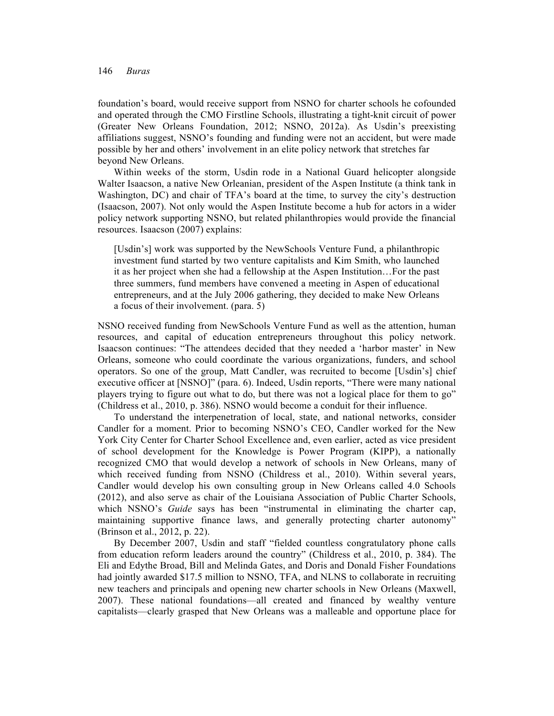foundation's board, would receive support from NSNO for charter schools he cofounded and operated through the CMO Firstline Schools, illustrating a tight-knit circuit of power (Greater New Orleans Foundation, 2012; NSNO, 2012a). As Usdin's preexisting affiliations suggest, NSNO's founding and funding were not an accident, but were made possible by her and others' involvement in an elite policy network that stretches far beyond New Orleans.

Within weeks of the storm, Usdin rode in a National Guard helicopter alongside Walter Isaacson, a native New Orleanian, president of the Aspen Institute (a think tank in Washington, DC) and chair of TFA's board at the time, to survey the city's destruction (Isaacson, 2007). Not only would the Aspen Institute become a hub for actors in a wider policy network supporting NSNO, but related philanthropies would provide the financial resources. Isaacson (2007) explains:

[Usdin's] work was supported by the NewSchools Venture Fund, a philanthropic investment fund started by two venture capitalists and Kim Smith, who launched it as her project when she had a fellowship at the Aspen Institution…For the past three summers, fund members have convened a meeting in Aspen of educational entrepreneurs, and at the July 2006 gathering, they decided to make New Orleans a focus of their involvement. (para. 5)

NSNO received funding from NewSchools Venture Fund as well as the attention, human resources, and capital of education entrepreneurs throughout this policy network. Isaacson continues: "The attendees decided that they needed a 'harbor master' in New Orleans, someone who could coordinate the various organizations, funders, and school operators. So one of the group, Matt Candler, was recruited to become [Usdin's] chief executive officer at [NSNO]" (para. 6). Indeed, Usdin reports, "There were many national players trying to figure out what to do, but there was not a logical place for them to go" (Childress et al., 2010, p. 386). NSNO would become a conduit for their influence.

To understand the interpenetration of local, state, and national networks, consider Candler for a moment. Prior to becoming NSNO's CEO, Candler worked for the New York City Center for Charter School Excellence and, even earlier, acted as vice president of school development for the Knowledge is Power Program (KIPP), a nationally recognized CMO that would develop a network of schools in New Orleans, many of which received funding from NSNO (Childress et al., 2010). Within several years, Candler would develop his own consulting group in New Orleans called 4.0 Schools (2012), and also serve as chair of the Louisiana Association of Public Charter Schools, which NSNO's *Guide* says has been "instrumental in eliminating the charter cap, maintaining supportive finance laws, and generally protecting charter autonomy" (Brinson et al., 2012, p. 22).

By December 2007, Usdin and staff "fielded countless congratulatory phone calls from education reform leaders around the country" (Childress et al., 2010, p. 384). The Eli and Edythe Broad, Bill and Melinda Gates, and Doris and Donald Fisher Foundations had jointly awarded \$17.5 million to NSNO, TFA, and NLNS to collaborate in recruiting new teachers and principals and opening new charter schools in New Orleans (Maxwell, 2007). These national foundations—all created and financed by wealthy venture capitalists—clearly grasped that New Orleans was a malleable and opportune place for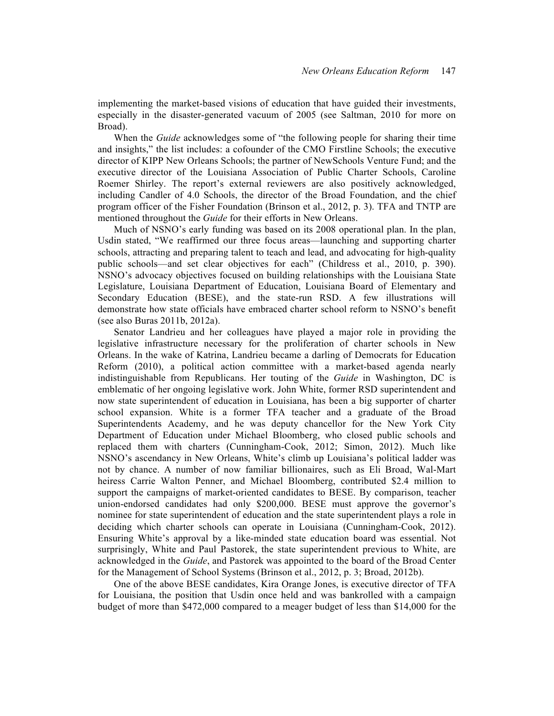implementing the market-based visions of education that have guided their investments, especially in the disaster-generated vacuum of 2005 (see Saltman, 2010 for more on Broad).

When the *Guide* acknowledges some of "the following people for sharing their time and insights," the list includes: a cofounder of the CMO Firstline Schools; the executive director of KIPP New Orleans Schools; the partner of NewSchools Venture Fund; and the executive director of the Louisiana Association of Public Charter Schools, Caroline Roemer Shirley. The report's external reviewers are also positively acknowledged, including Candler of 4.0 Schools, the director of the Broad Foundation, and the chief program officer of the Fisher Foundation (Brinson et al., 2012, p. 3). TFA and TNTP are mentioned throughout the *Guide* for their efforts in New Orleans.

Much of NSNO's early funding was based on its 2008 operational plan. In the plan, Usdin stated, "We reaffirmed our three focus areas—launching and supporting charter schools, attracting and preparing talent to teach and lead, and advocating for high-quality public schools—and set clear objectives for each" (Childress et al., 2010, p. 390). NSNO's advocacy objectives focused on building relationships with the Louisiana State Legislature, Louisiana Department of Education, Louisiana Board of Elementary and Secondary Education (BESE), and the state-run RSD. A few illustrations will demonstrate how state officials have embraced charter school reform to NSNO's benefit (see also Buras 2011b, 2012a).

Senator Landrieu and her colleagues have played a major role in providing the legislative infrastructure necessary for the proliferation of charter schools in New Orleans. In the wake of Katrina, Landrieu became a darling of Democrats for Education Reform (2010), a political action committee with a market-based agenda nearly indistinguishable from Republicans. Her touting of the *Guide* in Washington, DC is emblematic of her ongoing legislative work. John White, former RSD superintendent and now state superintendent of education in Louisiana, has been a big supporter of charter school expansion. White is a former TFA teacher and a graduate of the Broad Superintendents Academy, and he was deputy chancellor for the New York City Department of Education under Michael Bloomberg, who closed public schools and replaced them with charters (Cunningham-Cook, 2012; Simon, 2012). Much like NSNO's ascendancy in New Orleans, White's climb up Louisiana's political ladder was not by chance. A number of now familiar billionaires, such as Eli Broad, Wal-Mart heiress Carrie Walton Penner, and Michael Bloomberg, contributed \$2.4 million to support the campaigns of market-oriented candidates to BESE. By comparison, teacher union-endorsed candidates had only \$200,000. BESE must approve the governor's nominee for state superintendent of education and the state superintendent plays a role in deciding which charter schools can operate in Louisiana (Cunningham-Cook, 2012). Ensuring White's approval by a like-minded state education board was essential. Not surprisingly, White and Paul Pastorek, the state superintendent previous to White, are acknowledged in the *Guide*, and Pastorek was appointed to the board of the Broad Center for the Management of School Systems (Brinson et al., 2012, p. 3; Broad, 2012b).

One of the above BESE candidates, Kira Orange Jones, is executive director of TFA for Louisiana, the position that Usdin once held and was bankrolled with a campaign budget of more than \$472,000 compared to a meager budget of less than \$14,000 for the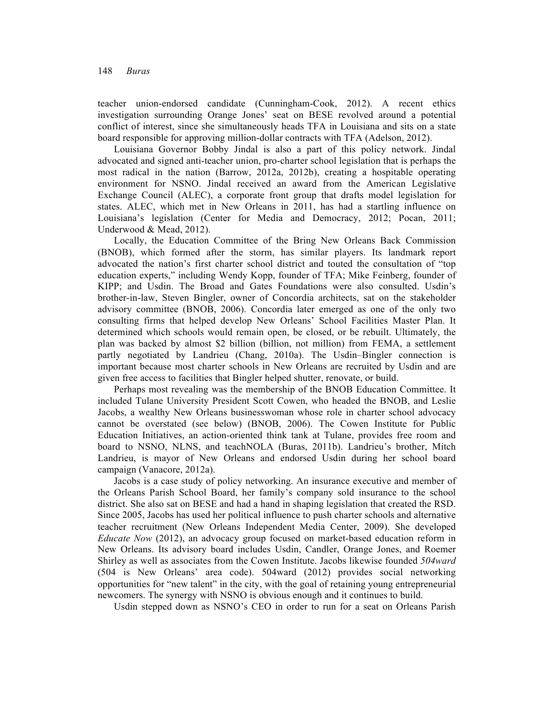teacher union-endorsed candidate (Cunningham-Cook, 2012). A recent ethics investigation surrounding Orange Jones' seat on BESE revolved around a potential conflict of interest, since she simultaneously heads TFA in Louisiana and sits on a state board responsible for approving million-dollar contracts with TFA (Adelson, 2012).

Louisiana Governor Bobby Jindal is also a part of this policy network. Jindal advocated and signed anti-teacher union, pro-charter school legislation that is perhaps the most radical in the nation (Barrow, 2012a, 2012b), creating a hospitable operating environment for NSNO. Jindal received an award from the American Legislative Exchange Council (ALEC), a corporate front group that drafts model legislation for states. ALEC, which met in New Orleans in 2011, has had a startling influence on Louisiana's legislation (Center for Media and Democracy, 2012; Pocan, 2011; Underwood & Mead, 2012).

Locally, the Education Committee of the Bring New Orleans Back Commission (BNOB), which formed after the storm, has similar players. Its landmark report advocated the nation's first charter school district and touted the consultation of "top education experts," including Wendy Kopp, founder of TFA; Mike Feinberg, founder of KIPP; and Usdin. The Broad and Gates Foundations were also consulted. Usdin's brother-in-law, Steven Bingler, owner of Concordia architects, sat on the stakeholder advisory committee (BNOB, 2006). Concordia later emerged as one of the only two consulting firms that helped develop New Orleans' School Facilities Master Plan. It determined which schools would remain open, be closed, or be rebuilt. Ultimately, the plan was backed by almost \$2 billion (billion, not million) from FEMA, a settlement partly negotiated by Landrieu (Chang, 2010a). The Usdin–Bingler connection is important because most charter schools in New Orleans are recruited by Usdin and are given free access to facilities that Bingler helped shutter, renovate, or build.

Perhaps most revealing was the membership of the BNOB Education Committee. It included Tulane University President Scott Cowen, who headed the BNOB, and Leslie Jacobs, a wealthy New Orleans businesswoman whose role in charter school advocacy cannot be overstated (see below) (BNOB, 2006). The Cowen Institute for Public Education Initiatives, an action-oriented think tank at Tulane, provides free room and board to NSNO, NLNS, and teachNOLA (Buras, 2011b). Landrieu's brother, Mitch Landrieu, is mayor of New Orleans and endorsed Usdin during her school board campaign (Vanacore, 2012a).

Jacobs is a case study of policy networking. An insurance executive and member of the Orleans Parish School Board, her family's company sold insurance to the school district. She also sat on BESE and had a hand in shaping legislation that created the RSD. Since 2005, Jacobs has used her political influence to push charter schools and alternative teacher recruitment (New Orleans Independent Media Center, 2009). She developed *Educate Now* (2012), an advocacy group focused on market-based education reform in New Orleans. Its advisory board includes Usdin, Candler, Orange Jones, and Roemer Shirley as well as associates from the Cowen Institute. Jacobs likewise founded *504ward* (504 is New Orleans' area code). 504ward (2012) provides social networking opportunities for "new talent" in the city, with the goal of retaining young entrepreneurial newcomers. The synergy with NSNO is obvious enough and it continues to build.

Usdin stepped down as NSNO's CEO in order to run for a seat on Orleans Parish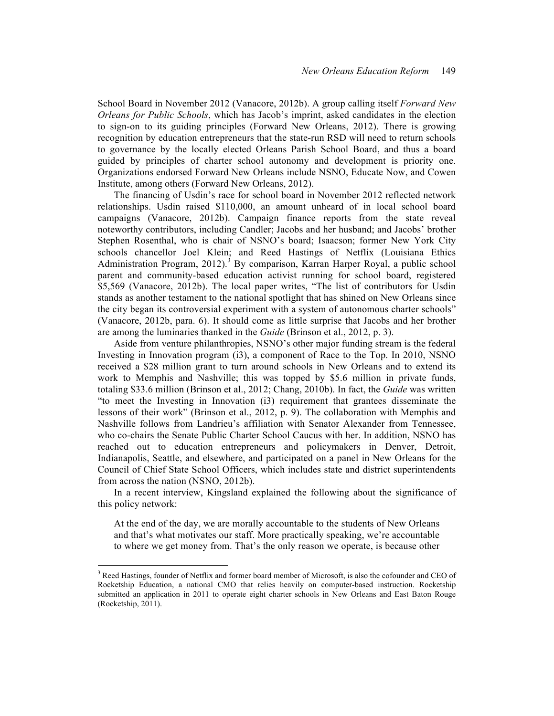School Board in November 2012 (Vanacore, 2012b). A group calling itself *Forward New Orleans for Public Schools*, which has Jacob's imprint, asked candidates in the election to sign-on to its guiding principles (Forward New Orleans, 2012). There is growing recognition by education entrepreneurs that the state-run RSD will need to return schools to governance by the locally elected Orleans Parish School Board, and thus a board guided by principles of charter school autonomy and development is priority one. Organizations endorsed Forward New Orleans include NSNO, Educate Now, and Cowen Institute, among others (Forward New Orleans, 2012).

The financing of Usdin's race for school board in November 2012 reflected network relationships. Usdin raised \$110,000, an amount unheard of in local school board campaigns (Vanacore, 2012b). Campaign finance reports from the state reveal noteworthy contributors, including Candler; Jacobs and her husband; and Jacobs' brother Stephen Rosenthal, who is chair of NSNO's board; Isaacson; former New York City schools chancellor Joel Klein; and Reed Hastings of Netflix (Louisiana Ethics Administration Program, 2012).<sup>3</sup> By comparison, Karran Harper Royal, a public school parent and community-based education activist running for school board, registered \$5,569 (Vanacore, 2012b). The local paper writes, "The list of contributors for Usdin stands as another testament to the national spotlight that has shined on New Orleans since the city began its controversial experiment with a system of autonomous charter schools" (Vanacore, 2012b, para. 6). It should come as little surprise that Jacobs and her brother are among the luminaries thanked in the *Guide* (Brinson et al., 2012, p. 3).

Aside from venture philanthropies, NSNO's other major funding stream is the federal Investing in Innovation program (i3), a component of Race to the Top. In 2010, NSNO received a \$28 million grant to turn around schools in New Orleans and to extend its work to Memphis and Nashville; this was topped by \$5.6 million in private funds, totaling \$33.6 million (Brinson et al., 2012; Chang, 2010b). In fact, the *Guide* was written "to meet the Investing in Innovation (i3) requirement that grantees disseminate the lessons of their work" (Brinson et al., 2012, p. 9). The collaboration with Memphis and Nashville follows from Landrieu's affiliation with Senator Alexander from Tennessee, who co-chairs the Senate Public Charter School Caucus with her. In addition, NSNO has reached out to education entrepreneurs and policymakers in Denver, Detroit, Indianapolis, Seattle, and elsewhere, and participated on a panel in New Orleans for the Council of Chief State School Officers, which includes state and district superintendents from across the nation (NSNO, 2012b).

In a recent interview, Kingsland explained the following about the significance of this policy network:

At the end of the day, we are morally accountable to the students of New Orleans and that's what motivates our staff. More practically speaking, we're accountable to where we get money from. That's the only reason we operate, is because other

<sup>&</sup>lt;sup>3</sup> Reed Hastings, founder of Netflix and former board member of Microsoft, is also the cofounder and CEO of Rocketship Education, a national CMO that relies heavily on computer-based instruction. Rocketship submitted an application in 2011 to operate eight charter schools in New Orleans and East Baton Rouge (Rocketship, 2011).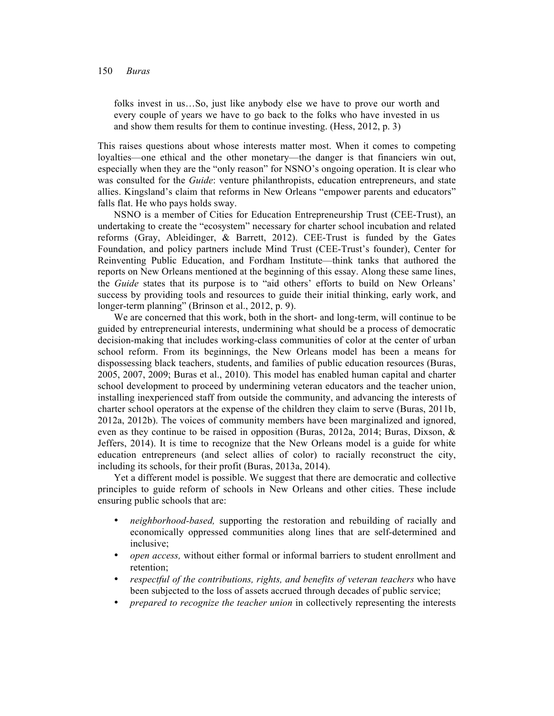folks invest in us…So, just like anybody else we have to prove our worth and every couple of years we have to go back to the folks who have invested in us and show them results for them to continue investing. (Hess, 2012, p. 3)

This raises questions about whose interests matter most. When it comes to competing loyalties—one ethical and the other monetary—the danger is that financiers win out, especially when they are the "only reason" for NSNO's ongoing operation. It is clear who was consulted for the *Guide*: venture philanthropists, education entrepreneurs, and state allies. Kingsland's claim that reforms in New Orleans "empower parents and educators" falls flat. He who pays holds sway.

NSNO is a member of Cities for Education Entrepreneurship Trust (CEE-Trust), an undertaking to create the "ecosystem" necessary for charter school incubation and related reforms (Gray, Ableidinger, & Barrett, 2012). CEE-Trust is funded by the Gates Foundation, and policy partners include Mind Trust (CEE-Trust's founder), Center for Reinventing Public Education, and Fordham Institute—think tanks that authored the reports on New Orleans mentioned at the beginning of this essay. Along these same lines, the *Guide* states that its purpose is to "aid others' efforts to build on New Orleans' success by providing tools and resources to guide their initial thinking, early work, and longer-term planning" (Brinson et al., 2012, p. 9).

We are concerned that this work, both in the short- and long-term, will continue to be guided by entrepreneurial interests, undermining what should be a process of democratic decision-making that includes working-class communities of color at the center of urban school reform. From its beginnings, the New Orleans model has been a means for dispossessing black teachers, students, and families of public education resources (Buras, 2005, 2007, 2009; Buras et al., 2010). This model has enabled human capital and charter school development to proceed by undermining veteran educators and the teacher union, installing inexperienced staff from outside the community, and advancing the interests of charter school operators at the expense of the children they claim to serve (Buras, 2011b, 2012a, 2012b). The voices of community members have been marginalized and ignored, even as they continue to be raised in opposition (Buras, 2012a, 2014; Buras, Dixson, & Jeffers, 2014). It is time to recognize that the New Orleans model is a guide for white education entrepreneurs (and select allies of color) to racially reconstruct the city, including its schools, for their profit (Buras, 2013a, 2014).

Yet a different model is possible. We suggest that there are democratic and collective principles to guide reform of schools in New Orleans and other cities. These include ensuring public schools that are:

- *neighborhood-based,* supporting the restoration and rebuilding of racially and economically oppressed communities along lines that are self-determined and inclusive;
- *open access,* without either formal or informal barriers to student enrollment and retention;
- *respectful of the contributions, rights, and benefits of veteran teachers* who have been subjected to the loss of assets accrued through decades of public service;
- *prepared to recognize the teacher union* in collectively representing the interests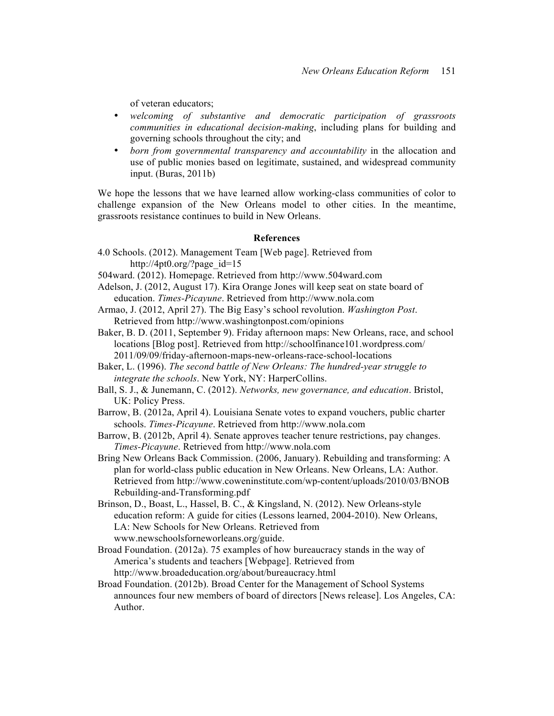of veteran educators;

- *welcoming of substantive and democratic participation of grassroots communities in educational decision-making*, including plans for building and governing schools throughout the city; and
- *born from governmental transparency and accountability* in the allocation and use of public monies based on legitimate, sustained, and widespread community input. (Buras, 2011b)

We hope the lessons that we have learned allow working-class communities of color to challenge expansion of the New Orleans model to other cities. In the meantime, grassroots resistance continues to build in New Orleans.

#### **References**

- 4.0 Schools. (2012). Management Team [Web page]. Retrieved from http://4pt0.org/?page\_id=15
- 504ward. (2012). Homepage. Retrieved from http://www.504ward.com
- Adelson, J. (2012, August 17). Kira Orange Jones will keep seat on state board of education. *Times-Picayune*. Retrieved from http://www.nola.com
- Armao, J. (2012, April 27). The Big Easy's school revolution. *Washington Post*. Retrieved from http://www.washingtonpost.com/opinions
- Baker, B. D. (2011, September 9). Friday afternoon maps: New Orleans, race, and school locations [Blog post]. Retrieved from http://schoolfinance101.wordpress.com/ 2011/09/09/friday-afternoon-maps-new-orleans-race-school-locations
- Baker, L. (1996). *The second battle of New Orleans: The hundred-year struggle to integrate the schools*. New York, NY: HarperCollins.
- Ball, S. J., & Junemann, C. (2012). *Networks, new governance, and education*. Bristol, UK: Policy Press.
- Barrow, B. (2012a, April 4). Louisiana Senate votes to expand vouchers, public charter schools. *Times-Picayune*. Retrieved from http://www.nola.com

Barrow, B. (2012b, April 4). Senate approves teacher tenure restrictions, pay changes. *Times-Picayune*. Retrieved from http://www.nola.com

Bring New Orleans Back Commission. (2006, January). Rebuilding and transforming: A plan for world-class public education in New Orleans. New Orleans, LA: Author. Retrieved from http://www.coweninstitute.com/wp-content/uploads/2010/03/BNOB Rebuilding-and-Transforming.pdf

- Brinson, D., Boast, L., Hassel, B. C., & Kingsland, N. (2012). New Orleans-style education reform: A guide for cities (Lessons learned, 2004-2010). New Orleans, LA: New Schools for New Orleans. Retrieved from www.newschoolsforneworleans.org/guide.
- Broad Foundation. (2012a). 75 examples of how bureaucracy stands in the way of America's students and teachers [Webpage]. Retrieved from http://www.broadeducation.org/about/bureaucracy.html
- Broad Foundation. (2012b). Broad Center for the Management of School Systems announces four new members of board of directors [News release]. Los Angeles, CA: Author.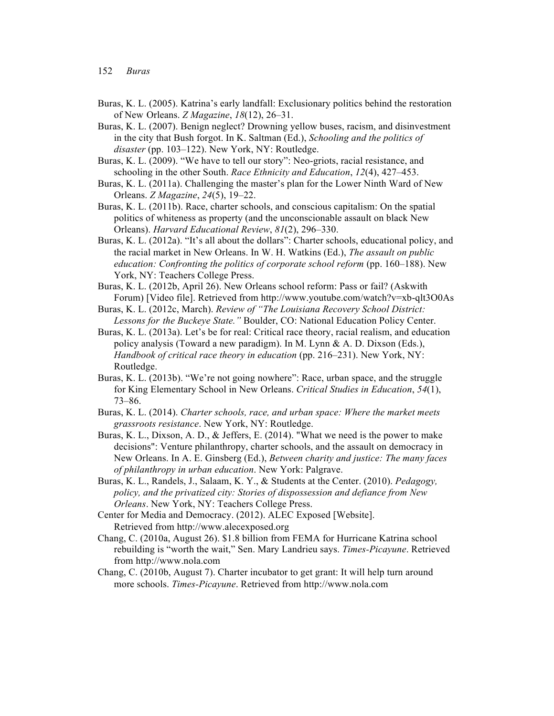- 152 *Buras*
- Buras, K. L. (2005). Katrina's early landfall: Exclusionary politics behind the restoration of New Orleans. *Z Magazine*, *18*(12), 26–31.
- Buras, K. L. (2007). Benign neglect? Drowning yellow buses, racism, and disinvestment in the city that Bush forgot. In K. Saltman (Ed.), *Schooling and the politics of disaster* (pp. 103–122). New York, NY: Routledge.
- Buras, K. L. (2009). "We have to tell our story": Neo-griots, racial resistance, and schooling in the other South. *Race Ethnicity and Education*, *12*(4), 427–453.
- Buras, K. L. (2011a). Challenging the master's plan for the Lower Ninth Ward of New Orleans. *Z Magazine*, *24*(5), 19–22.
- Buras, K. L. (2011b). Race, charter schools, and conscious capitalism: On the spatial politics of whiteness as property (and the unconscionable assault on black New Orleans). *Harvard Educational Review*, *81*(2), 296–330.
- Buras, K. L. (2012a). "It's all about the dollars": Charter schools, educational policy, and the racial market in New Orleans. In W. H. Watkins (Ed.), *The assault on public education: Confronting the politics of corporate school reform* (pp. 160–188). New York, NY: Teachers College Press.
- Buras, K. L. (2012b, April 26). New Orleans school reform: Pass or fail? (Askwith Forum) [Video file]. Retrieved from http://www.youtube.com/watch?v=xb-qlt3O0As
- Buras, K. L. (2012c, March). *Review of "The Louisiana Recovery School District: Lessons for the Buckeye State."* Boulder, CO: National Education Policy Center.
- Buras, K. L. (2013a). Let's be for real: Critical race theory, racial realism, and education policy analysis (Toward a new paradigm). In M. Lynn & A. D. Dixson (Eds.), *Handbook of critical race theory in education* (pp. 216–231). New York, NY: Routledge.
- Buras, K. L. (2013b). "We're not going nowhere": Race, urban space, and the struggle for King Elementary School in New Orleans. *Critical Studies in Education*, *54*(1), 73–86.
- Buras, K. L. (2014). *Charter schools, race, and urban space: Where the market meets grassroots resistance*. New York, NY: Routledge.
- Buras, K. L., Dixson, A. D., & Jeffers, E. (2014). "What we need is the power to make decisions": Venture philanthropy, charter schools, and the assault on democracy in New Orleans. In A. E. Ginsberg (Ed.), *Between charity and justice: The many faces of philanthropy in urban education*. New York: Palgrave.
- Buras, K. L., Randels, J., Salaam, K. Y., & Students at the Center. (2010). *Pedagogy, policy, and the privatized city: Stories of dispossession and defiance from New Orleans*. New York, NY: Teachers College Press.
- Center for Media and Democracy. (2012). ALEC Exposed [Website]. Retrieved from http://www.alecexposed.org
- Chang, C. (2010a, August 26). \$1.8 billion from FEMA for Hurricane Katrina school rebuilding is "worth the wait," Sen. Mary Landrieu says. *Times-Picayune*. Retrieved from http://www.nola.com
- Chang, C. (2010b, August 7). Charter incubator to get grant: It will help turn around more schools. *Times-Picayune*. Retrieved from http://www.nola.com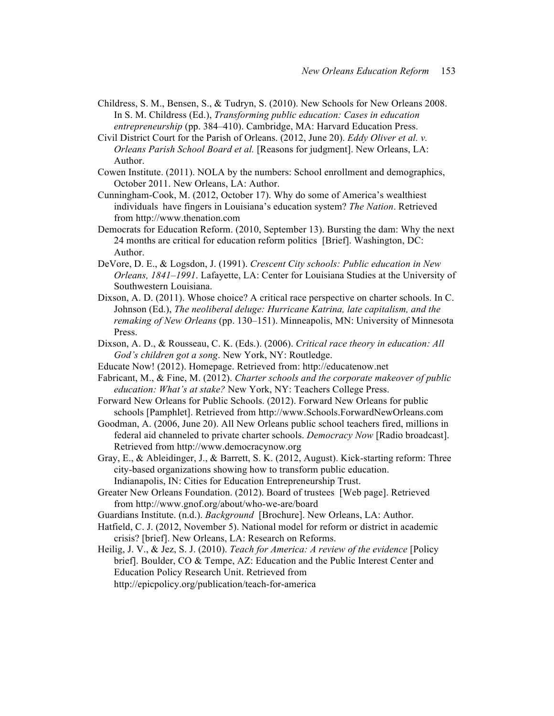- Childress, S. M., Bensen, S., & Tudryn, S. (2010). New Schools for New Orleans 2008. In S. M. Childress (Ed.), *Transforming public education: Cases in education entrepreneurship* (pp. 384–410). Cambridge, MA: Harvard Education Press.
- Civil District Court for the Parish of Orleans. (2012, June 20). *Eddy Oliver et al. v. Orleans Parish School Board et al.* [Reasons for judgment]. New Orleans, LA: Author.
- Cowen Institute. (2011). NOLA by the numbers: School enrollment and demographics, October 2011. New Orleans, LA: Author.
- Cunningham-Cook, M. (2012, October 17). Why do some of America's wealthiest individuals have fingers in Louisiana's education system? *The Nation*. Retrieved from http://www.thenation.com
- Democrats for Education Reform. (2010, September 13). Bursting the dam: Why the next 24 months are critical for education reform politics [Brief]. Washington, DC: Author.
- DeVore, D. E., & Logsdon, J. (1991). *Crescent City schools: Public education in New Orleans, 1841–1991*. Lafayette, LA: Center for Louisiana Studies at the University of Southwestern Louisiana.
- Dixson, A. D. (2011). Whose choice? A critical race perspective on charter schools. In C. Johnson (Ed.), *The neoliberal deluge: Hurricane Katrina, late capitalism, and the remaking of New Orleans* (pp. 130–151). Minneapolis, MN: University of Minnesota Press.
- Dixson, A. D., & Rousseau, C. K. (Eds.). (2006). *Critical race theory in education: All God's children got a song*. New York, NY: Routledge.
- Educate Now! (2012). Homepage. Retrieved from: http://educatenow.net
- Fabricant, M., & Fine, M. (2012). *Charter schools and the corporate makeover of public education: What's at stake?* New York, NY: Teachers College Press.
- Forward New Orleans for Public Schools. (2012). Forward New Orleans for public schools [Pamphlet]. Retrieved from http://www.Schools.ForwardNewOrleans.com
- Goodman, A. (2006, June 20). All New Orleans public school teachers fired, millions in federal aid channeled to private charter schools. *Democracy Now* [Radio broadcast]. Retrieved from http://www.democracynow.org
- Gray, E., & Ableidinger, J., & Barrett, S. K. (2012, August). Kick-starting reform: Three city-based organizations showing how to transform public education. Indianapolis, IN: Cities for Education Entrepreneurship Trust.
- Greater New Orleans Foundation. (2012). Board of trustees[Web page]. Retrieved from http://www.gnof.org/about/who-we-are/board
- Guardians Institute. (n.d.). *Background* [Brochure]. New Orleans, LA: Author.
- Hatfield, C. J. (2012, November 5). National model for reform or district in academic crisis? [brief]. New Orleans, LA: Research on Reforms.
- Heilig, J. V., & Jez, S. J. (2010). *Teach for America: A review of the evidence* [Policy brief]. Boulder, CO & Tempe, AZ: Education and the Public Interest Center and Education Policy Research Unit. Retrieved from http://epicpolicy.org/publication/teach-for-america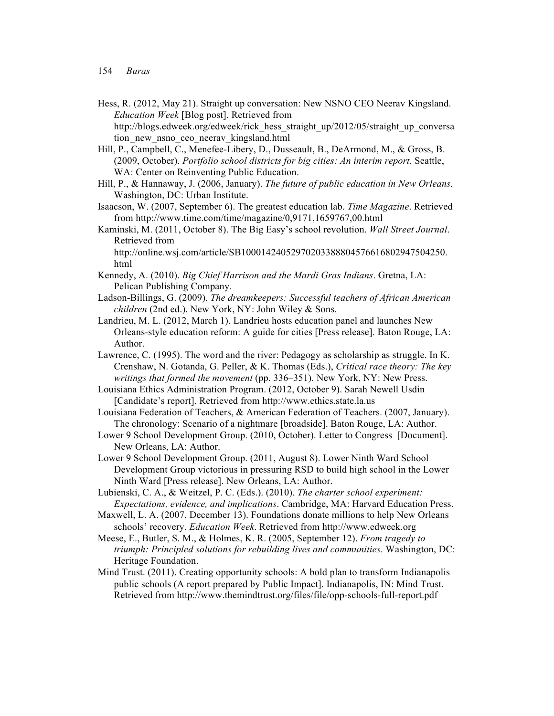Hess, R. (2012, May 21). Straight up conversation: New NSNO CEO Neerav Kingsland. *Education Week* [Blog post]. Retrieved from

http://blogs.edweek.org/edweek/rick\_hess\_straight\_up/2012/05/straight\_up\_conversa tion new nsno ceo neerav kingsland.html

- Hill, P., Campbell, C., Menefee-Libery, D., Dusseault, B., DeArmond, M., & Gross, B. (2009, October). *Portfolio school districts for big cities: An interim report.* Seattle, WA: Center on Reinventing Public Education.
- Hill, P., & Hannaway, J. (2006, January). *The future of public education in New Orleans.* Washington, DC: Urban Institute.
- Isaacson, W. (2007, September 6). The greatest education lab. *Time Magazine*. Retrieved from http://www.time.com/time/magazine/0,9171,1659767,00.html
- Kaminski, M. (2011, October 8). The Big Easy's school revolution. *Wall Street Journal*. Retrieved from

http://online.wsj.com/article/SB10001424052970203388804576616802947504250. html

- Kennedy, A. (2010). *Big Chief Harrison and the Mardi Gras Indians*. Gretna, LA: Pelican Publishing Company.
- Ladson-Billings, G. (2009). *The dreamkeepers: Successful teachers of African American children* (2nd ed.). New York, NY: John Wiley & Sons.
- Landrieu, M. L. (2012, March 1). Landrieu hosts education panel and launches New Orleans-style education reform: A guide for cities [Press release]. Baton Rouge, LA: Author.
- Lawrence, C. (1995). The word and the river: Pedagogy as scholarship as struggle. In K. Crenshaw, N. Gotanda, G. Peller, & K. Thomas (Eds.), *Critical race theory: The key writings that formed the movement* (pp. 336–351). New York, NY: New Press.
- Louisiana Ethics Administration Program. (2012, October 9). Sarah Newell Usdin [Candidate's report]. Retrieved from http://www.ethics.state.la.us
- Louisiana Federation of Teachers, & American Federation of Teachers. (2007, January). The chronology: Scenario of a nightmare [broadside]. Baton Rouge, LA: Author.
- Lower 9 School Development Group. (2010, October). Letter to Congress [Document]. New Orleans, LA: Author.
- Lower 9 School Development Group. (2011, August 8). Lower Ninth Ward School Development Group victorious in pressuring RSD to build high school in the Lower Ninth Ward [Press release]. New Orleans, LA: Author.
- Lubienski, C. A., & Weitzel, P. C. (Eds.). (2010). *The charter school experiment: Expectations, evidence, and implications*. Cambridge, MA: Harvard Education Press.
- Maxwell, L. A. (2007, December 13). Foundations donate millions to help New Orleans schools' recovery. *Education Week*. Retrieved from http://www.edweek.org
- Meese, E., Butler, S. M., & Holmes, K. R. (2005, September 12). *From tragedy to triumph: Principled solutions for rebuilding lives and communities.* Washington, DC: Heritage Foundation.
- Mind Trust. (2011). Creating opportunity schools: A bold plan to transform Indianapolis public schools (A report prepared by Public Impact]. Indianapolis, IN: Mind Trust. Retrieved from http://www.themindtrust.org/files/file/opp-schools-full-report.pdf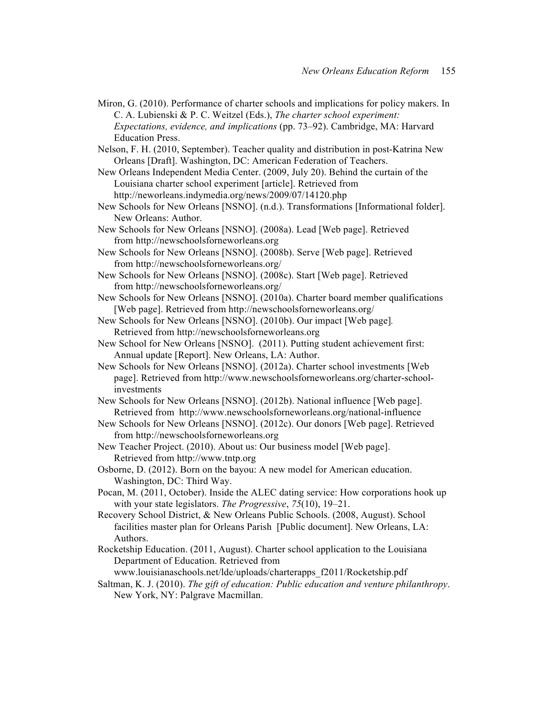- Miron, G. (2010). Performance of charter schools and implications for policy makers. In C. A. Lubienski & P. C. Weitzel (Eds.), *The charter school experiment: Expectations, evidence, and implications* (pp. 73–92). Cambridge, MA: Harvard Education Press.
- Nelson, F. H. (2010, September). Teacher quality and distribution in post-Katrina New Orleans [Draft]. Washington, DC: American Federation of Teachers.
- New Orleans Independent Media Center. (2009, July 20). Behind the curtain of the Louisiana charter school experiment [article]. Retrieved from http://neworleans.indymedia.org/news/2009/07/14120.php
- New Schools for New Orleans [NSNO]. (n.d.). Transformations [Informational folder]. New Orleans: Author.
- New Schools for New Orleans [NSNO]. (2008a). Lead [Web page]. Retrieved from http://newschoolsforneworleans.org
- New Schools for New Orleans [NSNO]. (2008b). Serve [Web page]. Retrieved from http://newschoolsforneworleans.org/
- New Schools for New Orleans [NSNO]. (2008c). Start [Web page]. Retrieved from http://newschoolsforneworleans.org/
- New Schools for New Orleans [NSNO]. (2010a). Charter board member qualifications [Web page]. Retrieved from http://newschoolsforneworleans.org/
- New Schools for New Orleans [NSNO]. (2010b). Our impact [Web page]*.* Retrieved from http://newschoolsforneworleans.org
- New School for New Orleans [NSNO]. (2011). Putting student achievement first: Annual update [Report]. New Orleans, LA: Author.
- New Schools for New Orleans [NSNO]. (2012a). Charter school investments [Web page]. Retrieved from http://www.newschoolsforneworleans.org/charter-schoolinvestments
- New Schools for New Orleans [NSNO]. (2012b). National influence [Web page]. Retrieved from http://www.newschoolsforneworleans.org/national-influence
- New Schools for New Orleans [NSNO]. (2012c). Our donors [Web page]. Retrieved from http://newschoolsforneworleans.org
- New Teacher Project. (2010). About us: Our business model [Web page]. Retrieved from http://www.tntp.org
- Osborne, D. (2012). Born on the bayou: A new model for American education. Washington, DC: Third Way.
- Pocan, M. (2011, October). Inside the ALEC dating service: How corporations hook up with your state legislators. *The Progressive*, *75*(10), 19–21.
- Recovery School District, & New Orleans Public Schools. (2008, August). School facilities master plan for Orleans Parish [Public document]. New Orleans, LA: Authors.
- Rocketship Education. (2011, August). Charter school application to the Louisiana Department of Education. Retrieved from

www.louisianaschools.net/lde/uploads/charterapps\_f2011/Rocketship.pdf

Saltman, K. J. (2010). *The gift of education: Public education and venture philanthropy*. New York, NY: Palgrave Macmillan.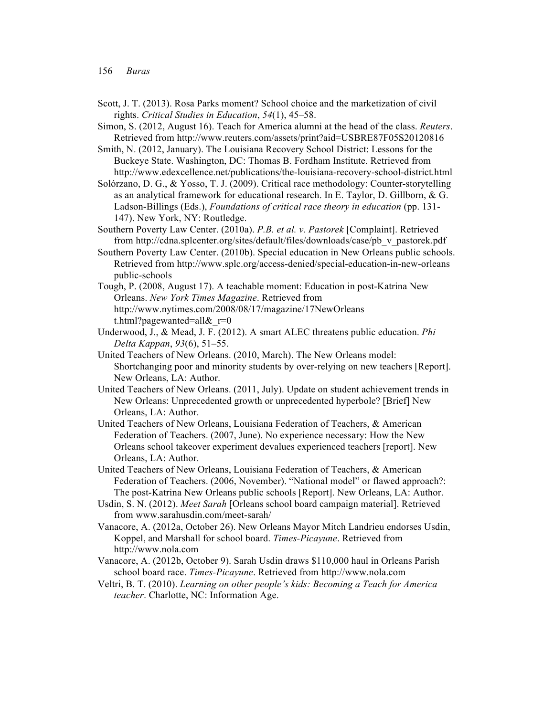- Scott, J. T. (2013). Rosa Parks moment? School choice and the marketization of civil rights. *Critical Studies in Education*, *54*(1), 45–58.
- Simon, S. (2012, August 16). Teach for America alumni at the head of the class. *Reuters*. Retrieved from http://www.reuters.com/assets/print?aid=USBRE87F05S20120816
- Smith, N. (2012, January). The Louisiana Recovery School District: Lessons for the Buckeye State. Washington, DC: Thomas B. Fordham Institute. Retrieved from http://www.edexcellence.net/publications/the-louisiana-recovery-school-district.html
- Solórzano, D. G., & Yosso, T. J. (2009). Critical race methodology: Counter-storytelling as an analytical framework for educational research. In E. Taylor, D. Gillborn, & G. Ladson-Billings (Eds.), *Foundations of critical race theory in education* (pp. 131- 147). New York, NY: Routledge.
- Southern Poverty Law Center. (2010a). *P.B. et al. v. Pastorek* [Complaint]. Retrieved from http://cdna.splcenter.org/sites/default/files/downloads/case/pb\_v\_pastorek.pdf
- Southern Poverty Law Center. (2010b). Special education in New Orleans public schools. Retrieved from http://www.splc.org/access-denied/special-education-in-new-orleans public-schools
- Tough, P. (2008, August 17). A teachable moment: Education in post-Katrina New Orleans. *New York Times Magazine*. Retrieved from http://www.nytimes.com/2008/08/17/magazine/17NewOrleans t.html?pagewanted=all $&r=0$
- Underwood, J., & Mead, J. F. (2012). A smart ALEC threatens public education. *Phi Delta Kappan*, *93*(6), 51–55.
- United Teachers of New Orleans. (2010, March). The New Orleans model: Shortchanging poor and minority students by over-relying on new teachers [Report]. New Orleans, LA: Author.
- United Teachers of New Orleans. (2011, July). Update on student achievement trends in New Orleans: Unprecedented growth or unprecedented hyperbole? [Brief] New Orleans, LA: Author.
- United Teachers of New Orleans, Louisiana Federation of Teachers, & American Federation of Teachers. (2007, June). No experience necessary: How the New Orleans school takeover experiment devalues experienced teachers [report]. New Orleans, LA: Author.
- United Teachers of New Orleans, Louisiana Federation of Teachers, & American Federation of Teachers. (2006, November). "National model" or flawed approach?: The post-Katrina New Orleans public schools [Report]. New Orleans, LA: Author.
- Usdin, S. N. (2012). *Meet Sarah* [Orleans school board campaign material]. Retrieved from www.sarahusdin.com/meet-sarah/
- Vanacore, A. (2012a, October 26). New Orleans Mayor Mitch Landrieu endorses Usdin, Koppel, and Marshall for school board. *Times-Picayune*. Retrieved from http://www.nola.com
- Vanacore, A. (2012b, October 9). Sarah Usdin draws \$110,000 haul in Orleans Parish school board race. *Times-Picayune*. Retrieved from http://www.nola.com
- Veltri, B. T. (2010). *Learning on other people's kids: Becoming a Teach for America teacher*. Charlotte, NC: Information Age.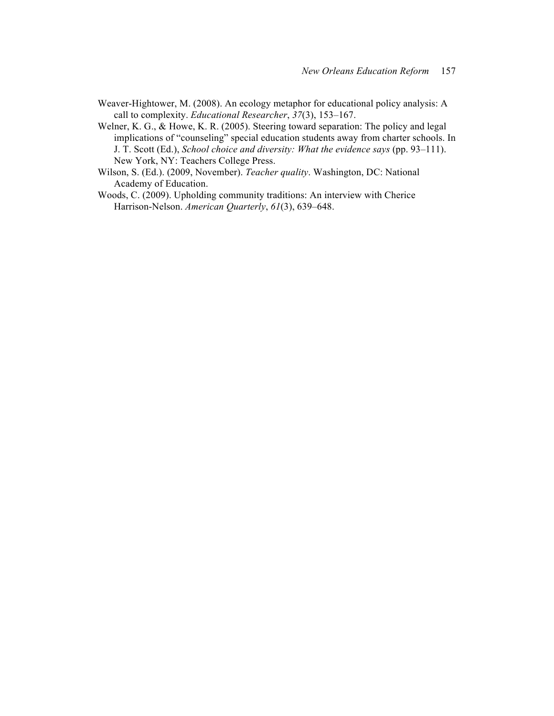- Weaver-Hightower, M. (2008). An ecology metaphor for educational policy analysis: A call to complexity. *Educational Researcher*, *37*(3), 153–167.
- Welner, K. G., & Howe, K. R. (2005). Steering toward separation: The policy and legal implications of "counseling" special education students away from charter schools. In J. T. Scott (Ed.), *School choice and diversity: What the evidence says* (pp. 93–111). New York, NY: Teachers College Press.
- Wilson, S. (Ed.). (2009, November). *Teacher quality*. Washington, DC: National Academy of Education.
- Woods, C. (2009). Upholding community traditions: An interview with Cherice Harrison-Nelson. *American Quarterly*, *61*(3), 639–648.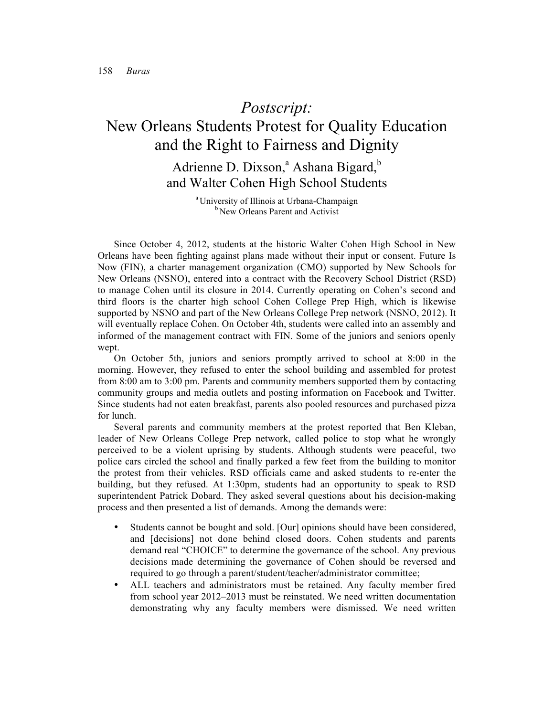### *Postscript:*

## New Orleans Students Protest for Quality Education and the Right to Fairness and Dignity

### Adrienne D. Dixson,<sup>a</sup> Ashana Bigard,<sup>b</sup> and Walter Cohen High School Students

<sup>a</sup> University of Illinois at Urbana-Champaign <sup>b</sup> New Orleans Parent and Activist

Since October 4, 2012, students at the historic Walter Cohen High School in New Orleans have been fighting against plans made without their input or consent. Future Is Now (FIN), a charter management organization (CMO) supported by New Schools for New Orleans (NSNO), entered into a contract with the Recovery School District (RSD) to manage Cohen until its closure in 2014. Currently operating on Cohen's second and third floors is the charter high school Cohen College Prep High, which is likewise supported by NSNO and part of the New Orleans College Prep network (NSNO, 2012). It will eventually replace Cohen. On October 4th, students were called into an assembly and informed of the management contract with FIN. Some of the juniors and seniors openly wept.

On October 5th, juniors and seniors promptly arrived to school at 8:00 in the morning. However, they refused to enter the school building and assembled for protest from 8:00 am to 3:00 pm. Parents and community members supported them by contacting community groups and media outlets and posting information on Facebook and Twitter. Since students had not eaten breakfast, parents also pooled resources and purchased pizza for lunch.

Several parents and community members at the protest reported that Ben Kleban, leader of New Orleans College Prep network, called police to stop what he wrongly perceived to be a violent uprising by students. Although students were peaceful, two police cars circled the school and finally parked a few feet from the building to monitor the protest from their vehicles. RSD officials came and asked students to re-enter the building, but they refused. At 1:30pm, students had an opportunity to speak to RSD superintendent Patrick Dobard. They asked several questions about his decision-making process and then presented a list of demands. Among the demands were:

- Students cannot be bought and sold. [Our] opinions should have been considered, and [decisions] not done behind closed doors. Cohen students and parents demand real "CHOICE" to determine the governance of the school. Any previous decisions made determining the governance of Cohen should be reversed and required to go through a parent/student/teacher/administrator committee;
- ALL teachers and administrators must be retained. Any faculty member fired from school year 2012–2013 must be reinstated. We need written documentation demonstrating why any faculty members were dismissed. We need written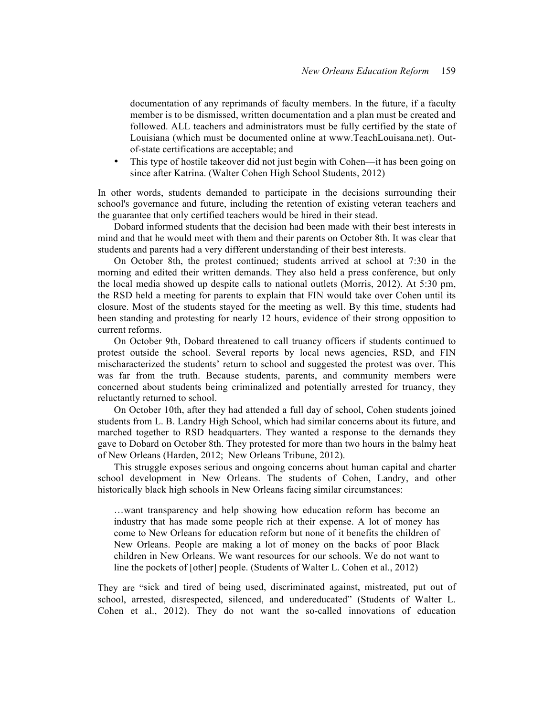documentation of any reprimands of faculty members. In the future, if a faculty member is to be dismissed, written documentation and a plan must be created and followed. ALL teachers and administrators must be fully certified by the state of Louisiana (which must be documented online at www.TeachLouisana.net). Outof-state certifications are acceptable; and

• This type of hostile takeover did not just begin with Cohen—it has been going on since after Katrina. (Walter Cohen High School Students, 2012)

In other words, students demanded to participate in the decisions surrounding their school's governance and future, including the retention of existing veteran teachers and the guarantee that only certified teachers would be hired in their stead.

Dobard informed students that the decision had been made with their best interests in mind and that he would meet with them and their parents on October 8th. It was clear that students and parents had a very different understanding of their best interests.

On October 8th, the protest continued; students arrived at school at 7:30 in the morning and edited their written demands. They also held a press conference, but only the local media showed up despite calls to national outlets (Morris, 2012). At 5:30 pm, the RSD held a meeting for parents to explain that FIN would take over Cohen until its closure. Most of the students stayed for the meeting as well. By this time, students had been standing and protesting for nearly 12 hours, evidence of their strong opposition to current reforms.

On October 9th, Dobard threatened to call truancy officers if students continued to protest outside the school. Several reports by local news agencies, RSD, and FIN mischaracterized the students' return to school and suggested the protest was over. This was far from the truth. Because students, parents, and community members were concerned about students being criminalized and potentially arrested for truancy, they reluctantly returned to school.

On October 10th, after they had attended a full day of school, Cohen students joined students from L. B. Landry High School, which had similar concerns about its future, and marched together to RSD headquarters. They wanted a response to the demands they gave to Dobard on October 8th. They protested for more than two hours in the balmy heat of New Orleans (Harden, 2012; New Orleans Tribune, 2012).

This struggle exposes serious and ongoing concerns about human capital and charter school development in New Orleans. The students of Cohen, Landry, and other historically black high schools in New Orleans facing similar circumstances:

…want transparency and help showing how education reform has become an industry that has made some people rich at their expense. A lot of money has come to New Orleans for education reform but none of it benefits the children of New Orleans. People are making a lot of money on the backs of poor Black children in New Orleans. We want resources for our schools. We do not want to line the pockets of [other] people. (Students of Walter L. Cohen et al., 2012)

They are "sick and tired of being used, discriminated against, mistreated, put out of school, arrested, disrespected, silenced, and undereducated" (Students of Walter L. Cohen et al., 2012). They do not want the so-called innovations of education